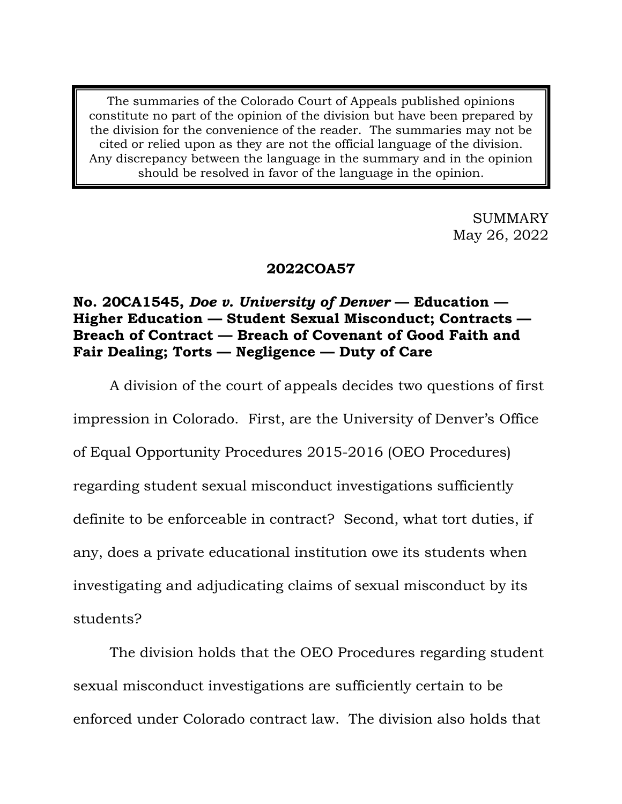The summaries of the Colorado Court of Appeals published opinions constitute no part of the opinion of the division but have been prepared by the division for the convenience of the reader. The summaries may not be cited or relied upon as they are not the official language of the division. Any discrepancy between the language in the summary and in the opinion should be resolved in favor of the language in the opinion.

> SUMMARY May 26, 2022

## **2022COA57**

# **No. 20CA1545,** *Doe v. University of Denver* **— Education — Higher Education — Student Sexual Misconduct; Contracts — Breach of Contract — Breach of Covenant of Good Faith and Fair Dealing; Torts — Negligence — Duty of Care**

A division of the court of appeals decides two questions of first impression in Colorado. First, are the University of Denver's Office of Equal Opportunity Procedures 2015-2016 (OEO Procedures) regarding student sexual misconduct investigations sufficiently definite to be enforceable in contract? Second, what tort duties, if any, does a private educational institution owe its students when investigating and adjudicating claims of sexual misconduct by its students?

The division holds that the OEO Procedures regarding student sexual misconduct investigations are sufficiently certain to be enforced under Colorado contract law. The division also holds that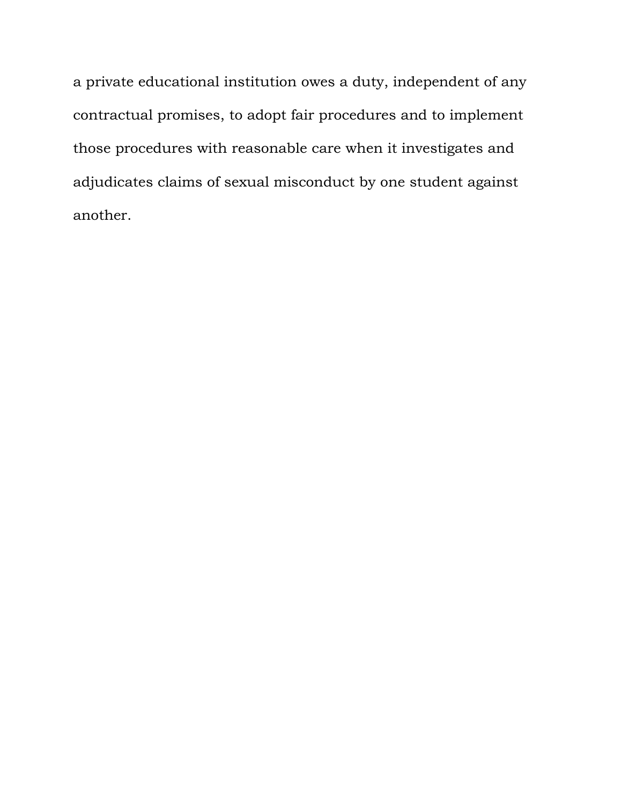a private educational institution owes a duty, independent of any contractual promises, to adopt fair procedures and to implement those procedures with reasonable care when it investigates and adjudicates claims of sexual misconduct by one student against another.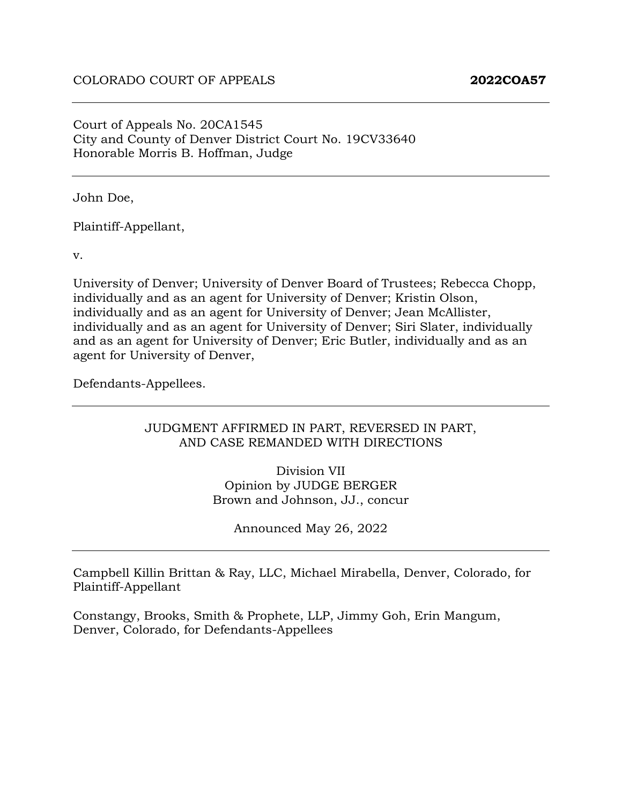Court of Appeals No. 20CA1545 City and County of Denver District Court No. 19CV33640 Honorable Morris B. Hoffman, Judge

John Doe,

Plaintiff-Appellant,

v.

University of Denver; University of Denver Board of Trustees; Rebecca Chopp, individually and as an agent for University of Denver; Kristin Olson, individually and as an agent for University of Denver; Jean McAllister, individually and as an agent for University of Denver; Siri Slater, individually and as an agent for University of Denver; Eric Butler, individually and as an agent for University of Denver,

Defendants-Appellees.

#### JUDGMENT AFFIRMED IN PART, REVERSED IN PART, AND CASE REMANDED WITH DIRECTIONS

Division VII Opinion by JUDGE BERGER Brown and Johnson, JJ., concur

Announced May 26, 2022

Campbell Killin Brittan & Ray, LLC, Michael Mirabella, Denver, Colorado, for Plaintiff-Appellant

Constangy, Brooks, Smith & Prophete, LLP, Jimmy Goh, Erin Mangum, Denver, Colorado, for Defendants-Appellees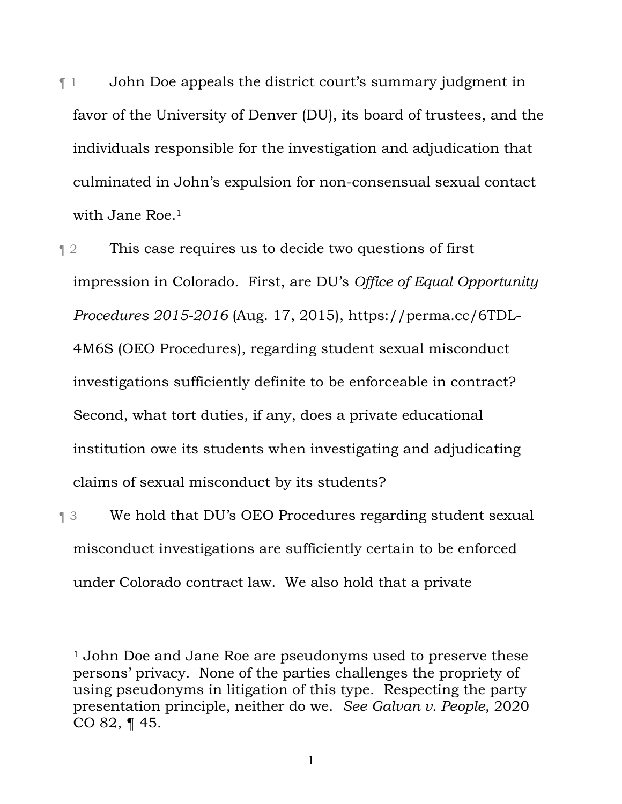¶ 1 John Doe appeals the district court's summary judgment in favor of the University of Denver (DU), its board of trustees, and the individuals responsible for the investigation and adjudication that culminated in John's expulsion for non-consensual sexual contact with Jane Roe.<sup>1</sup>

¶ 2 This case requires us to decide two questions of first impression in Colorado. First, are DU's *Office of Equal Opportunity Procedures 2015-2016* (Aug. 17, 2015), https://perma.cc/6TDL-4M6S (OEO Procedures), regarding student sexual misconduct investigations sufficiently definite to be enforceable in contract? Second, what tort duties, if any, does a private educational institution owe its students when investigating and adjudicating claims of sexual misconduct by its students?

¶ 3 We hold that DU's OEO Procedures regarding student sexual misconduct investigations are sufficiently certain to be enforced under Colorado contract law. We also hold that a private

<sup>&</sup>lt;sup>1</sup> John Doe and Jane Roe are pseudonyms used to preserve these persons' privacy. None of the parties challenges the propriety of using pseudonyms in litigation of this type. Respecting the party presentation principle, neither do we. *See Galvan v. People*, 2020 CO 82, ¶ 45.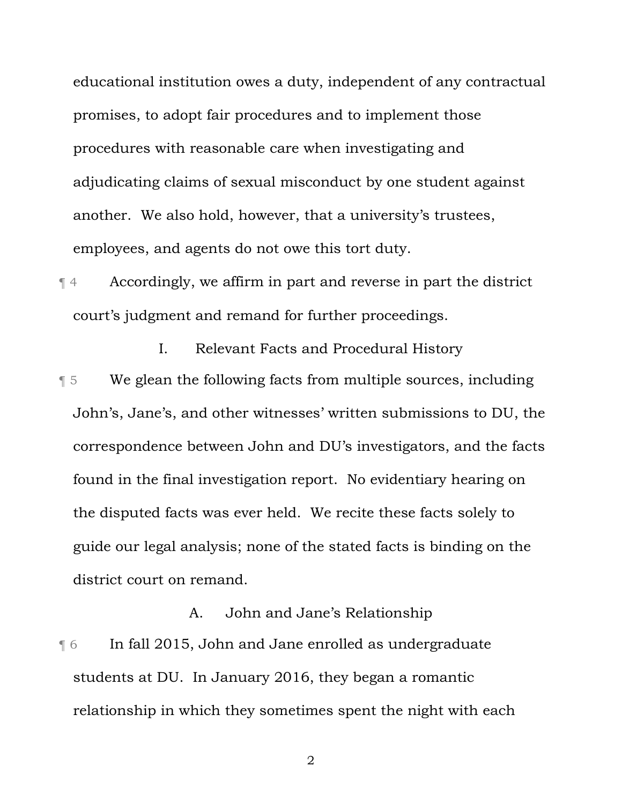educational institution owes a duty, independent of any contractual promises, to adopt fair procedures and to implement those procedures with reasonable care when investigating and adjudicating claims of sexual misconduct by one student against another. We also hold, however, that a university's trustees, employees, and agents do not owe this tort duty.

¶ 4 Accordingly, we affirm in part and reverse in part the district court's judgment and remand for further proceedings.

I. Relevant Facts and Procedural History

¶ 5 We glean the following facts from multiple sources, including John's, Jane's, and other witnesses' written submissions to DU, the correspondence between John and DU's investigators, and the facts found in the final investigation report. No evidentiary hearing on the disputed facts was ever held. We recite these facts solely to guide our legal analysis; none of the stated facts is binding on the district court on remand.

A. John and Jane's Relationship **Theorem 15 In fall 2015, John and Jane enrolled as undergraduate** students at DU. In January 2016, they began a romantic relationship in which they sometimes spent the night with each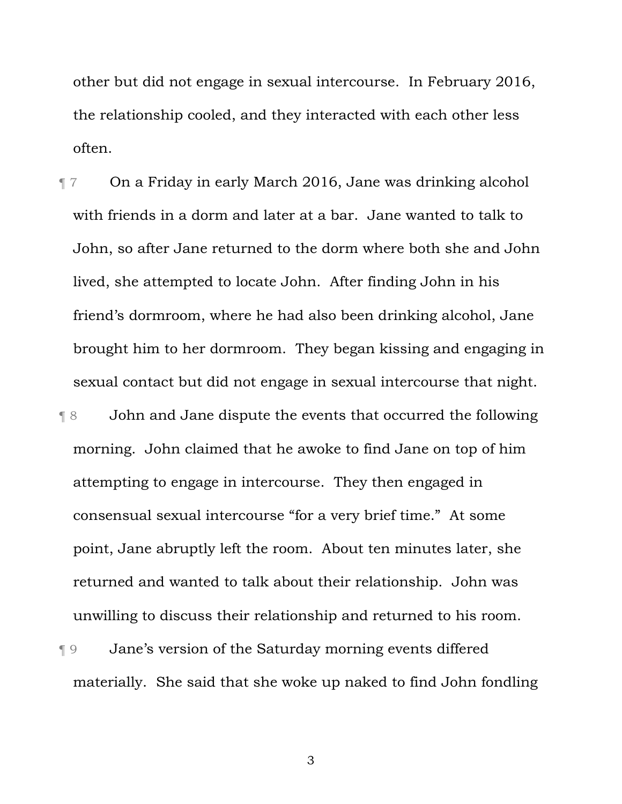other but did not engage in sexual intercourse. In February 2016, the relationship cooled, and they interacted with each other less often.

¶ 7 On a Friday in early March 2016, Jane was drinking alcohol with friends in a dorm and later at a bar. Jane wanted to talk to John, so after Jane returned to the dorm where both she and John lived, she attempted to locate John. After finding John in his friend's dormroom, where he had also been drinking alcohol, Jane brought him to her dormroom. They began kissing and engaging in sexual contact but did not engage in sexual intercourse that night. ¶ 8 John and Jane dispute the events that occurred the following morning. John claimed that he awoke to find Jane on top of him

attempting to engage in intercourse. They then engaged in consensual sexual intercourse "for a very brief time." At some point, Jane abruptly left the room. About ten minutes later, she returned and wanted to talk about their relationship. John was unwilling to discuss their relationship and returned to his room.

# ¶ 9 Jane's version of the Saturday morning events differed materially. She said that she woke up naked to find John fondling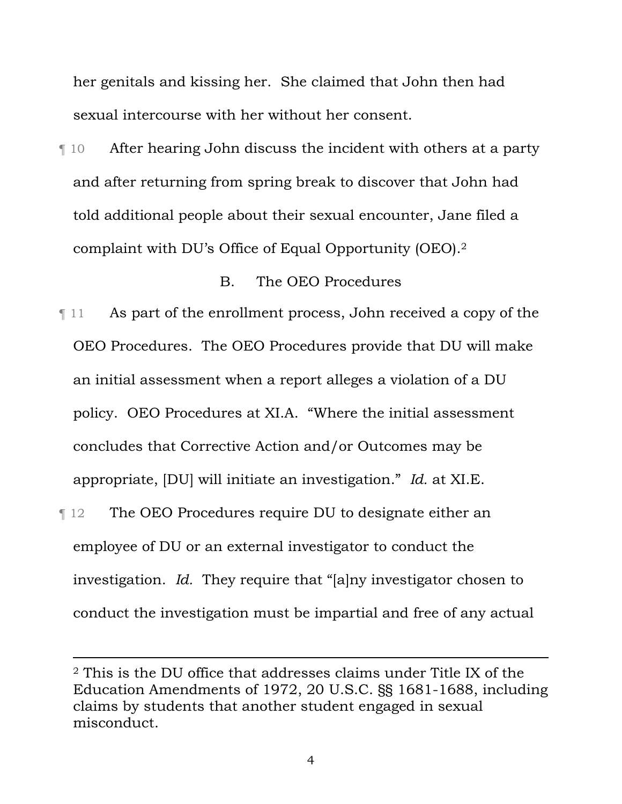her genitals and kissing her. She claimed that John then had sexual intercourse with her without her consent.

¶ 10 After hearing John discuss the incident with others at a party and after returning from spring break to discover that John had told additional people about their sexual encounter, Jane filed a complaint with DU's Office of Equal Opportunity (OEO).2

#### B. The OEO Procedures

¶ 11 As part of the enrollment process, John received a copy of the OEO Procedures. The OEO Procedures provide that DU will make an initial assessment when a report alleges a violation of a DU policy. OEO Procedures at XI.A. "Where the initial assessment concludes that Corrective Action and/or Outcomes may be appropriate, [DU] will initiate an investigation." *Id.* at XI.E.

¶ 12 The OEO Procedures require DU to designate either an employee of DU or an external investigator to conduct the investigation. *Id.* They require that "[a]ny investigator chosen to conduct the investigation must be impartial and free of any actual

<sup>2</sup> This is the DU office that addresses claims under Title IX of the Education Amendments of 1972, 20 U.S.C. §§ 1681-1688, including claims by students that another student engaged in sexual misconduct.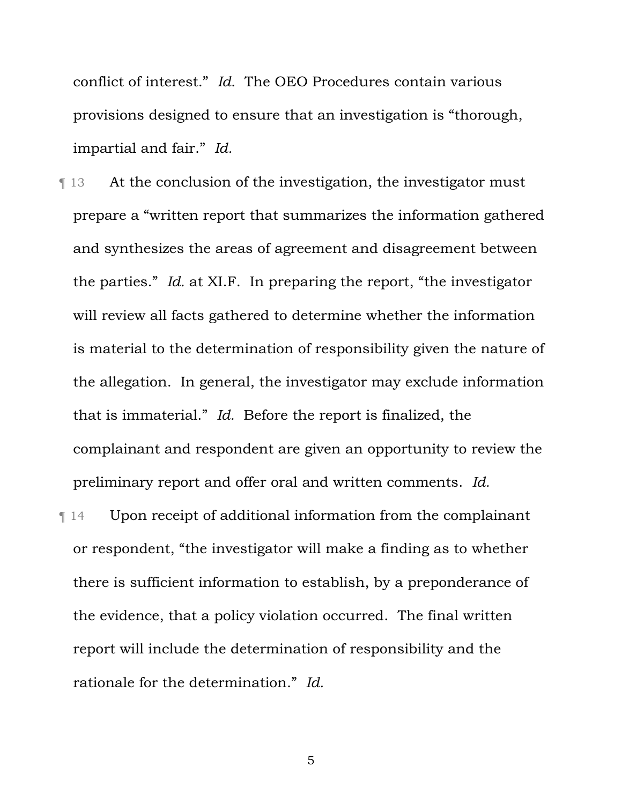conflict of interest." *Id.* The OEO Procedures contain various provisions designed to ensure that an investigation is "thorough, impartial and fair." *Id.*

- ¶ 13 At the conclusion of the investigation, the investigator must prepare a "written report that summarizes the information gathered and synthesizes the areas of agreement and disagreement between the parties." *Id.* at XI.F. In preparing the report, "the investigator will review all facts gathered to determine whether the information is material to the determination of responsibility given the nature of the allegation. In general, the investigator may exclude information that is immaterial." *Id.* Before the report is finalized, the complainant and respondent are given an opportunity to review the preliminary report and offer oral and written comments. *Id.*
- ¶ 14 Upon receipt of additional information from the complainant or respondent, "the investigator will make a finding as to whether there is sufficient information to establish, by a preponderance of the evidence, that a policy violation occurred. The final written report will include the determination of responsibility and the rationale for the determination." *Id.*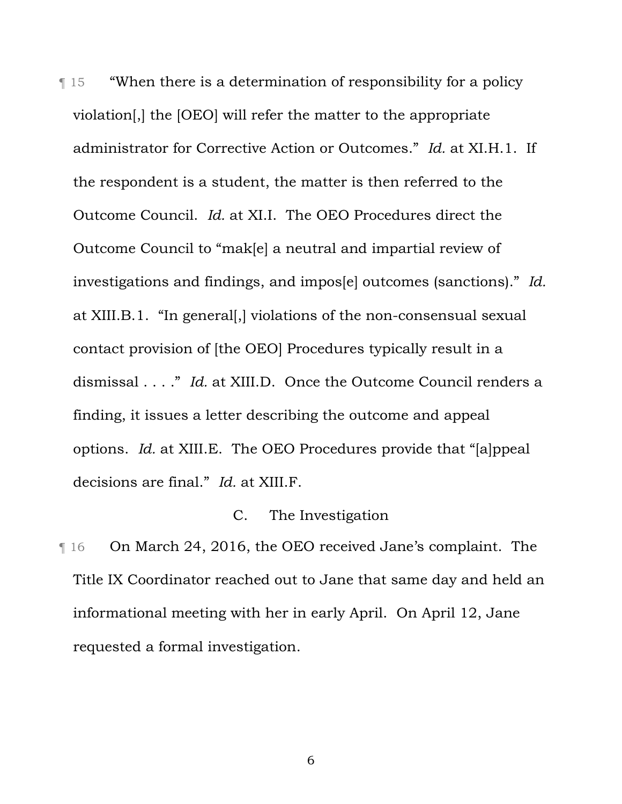¶ 15 "When there is a determination of responsibility for a policy violation[,] the [OEO] will refer the matter to the appropriate administrator for Corrective Action or Outcomes." *Id.* at XI.H.1. If the respondent is a student, the matter is then referred to the Outcome Council. *Id.* at XI.I. The OEO Procedures direct the Outcome Council to "mak[e] a neutral and impartial review of investigations and findings, and impos[e] outcomes (sanctions)." *Id.* at XIII.B.1. "In general[,] violations of the non-consensual sexual contact provision of [the OEO] Procedures typically result in a dismissal . . . ." *Id.* at XIII.D. Once the Outcome Council renders a finding, it issues a letter describing the outcome and appeal options. *Id.* at XIII.E. The OEO Procedures provide that "[a]ppeal decisions are final." *Id.* at XIII.F.

### C. The Investigation

¶ 16 On March 24, 2016, the OEO received Jane's complaint. The Title IX Coordinator reached out to Jane that same day and held an informational meeting with her in early April. On April 12, Jane requested a formal investigation.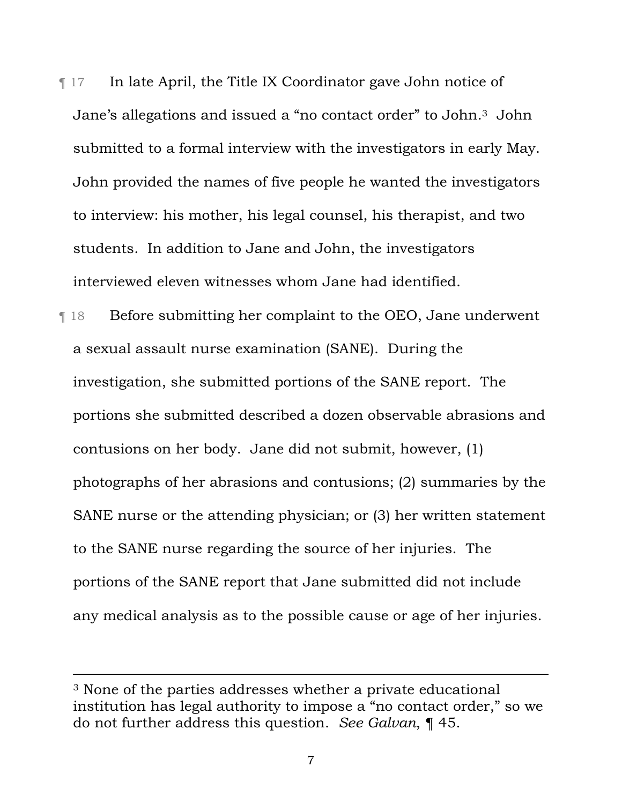¶ 17 In late April, the Title IX Coordinator gave John notice of Jane's allegations and issued a "no contact order" to John.3 John submitted to a formal interview with the investigators in early May. John provided the names of five people he wanted the investigators to interview: his mother, his legal counsel, his therapist, and two students. In addition to Jane and John, the investigators interviewed eleven witnesses whom Jane had identified.

¶ 18 Before submitting her complaint to the OEO, Jane underwent a sexual assault nurse examination (SANE). During the investigation, she submitted portions of the SANE report. The portions she submitted described a dozen observable abrasions and contusions on her body. Jane did not submit, however, (1) photographs of her abrasions and contusions; (2) summaries by the SANE nurse or the attending physician; or (3) her written statement to the SANE nurse regarding the source of her injuries. The portions of the SANE report that Jane submitted did not include any medical analysis as to the possible cause or age of her injuries.

<sup>3</sup> None of the parties addresses whether a private educational institution has legal authority to impose a "no contact order," so we do not further address this question. *See Galvan*, ¶ 45.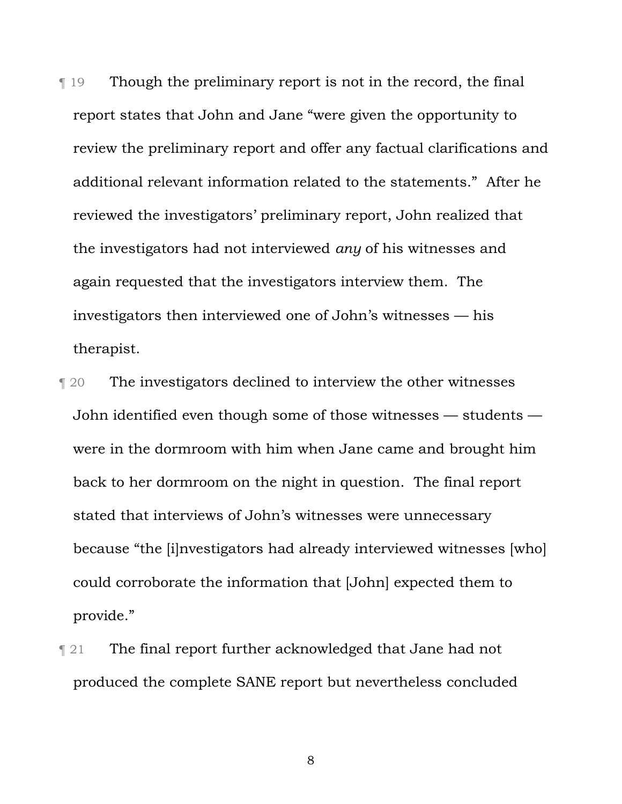¶ 19 Though the preliminary report is not in the record, the final report states that John and Jane "were given the opportunity to review the preliminary report and offer any factual clarifications and additional relevant information related to the statements." After he reviewed the investigators' preliminary report, John realized that the investigators had not interviewed *any* of his witnesses and again requested that the investigators interview them. The investigators then interviewed one of John's witnesses — his therapist.

- ¶ 20 The investigators declined to interview the other witnesses John identified even though some of those witnesses — students were in the dormroom with him when Jane came and brought him back to her dormroom on the night in question. The final report stated that interviews of John's witnesses were unnecessary because "the [i]nvestigators had already interviewed witnesses [who] could corroborate the information that [John] expected them to provide."
- **The final report further acknowledged that Jane had not** produced the complete SANE report but nevertheless concluded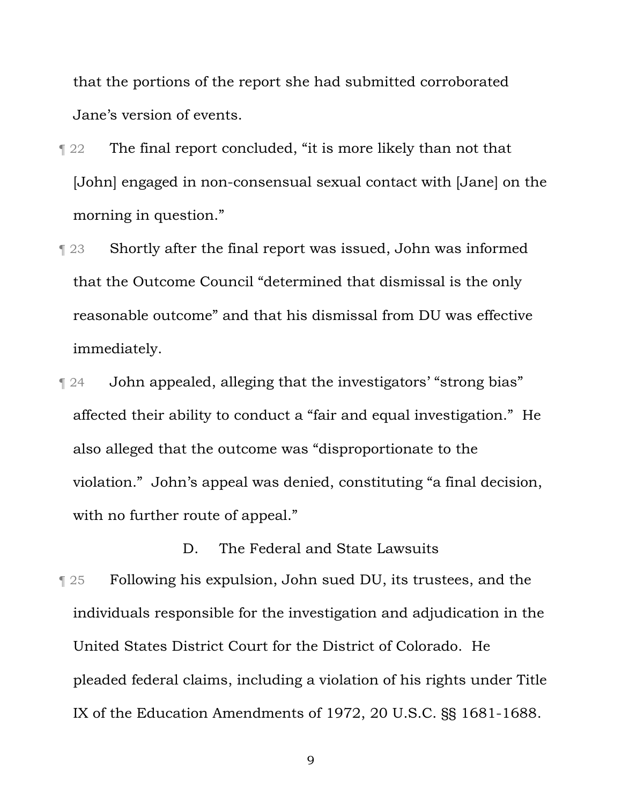that the portions of the report she had submitted corroborated Jane's version of events.

- **The final report concluded, "it is more likely than not that** [John] engaged in non-consensual sexual contact with [Jane] on the morning in question."
- ¶ 23 Shortly after the final report was issued, John was informed that the Outcome Council "determined that dismissal is the only reasonable outcome" and that his dismissal from DU was effective immediately.
- ¶ 24 John appealed, alleging that the investigators' "strong bias" affected their ability to conduct a "fair and equal investigation." He also alleged that the outcome was "disproportionate to the violation." John's appeal was denied, constituting "a final decision, with no further route of appeal."

D. The Federal and State Lawsuits

¶ 25 Following his expulsion, John sued DU, its trustees, and the individuals responsible for the investigation and adjudication in the United States District Court for the District of Colorado. He pleaded federal claims, including a violation of his rights under Title IX of the Education Amendments of 1972, 20 U.S.C. §§ 1681-1688.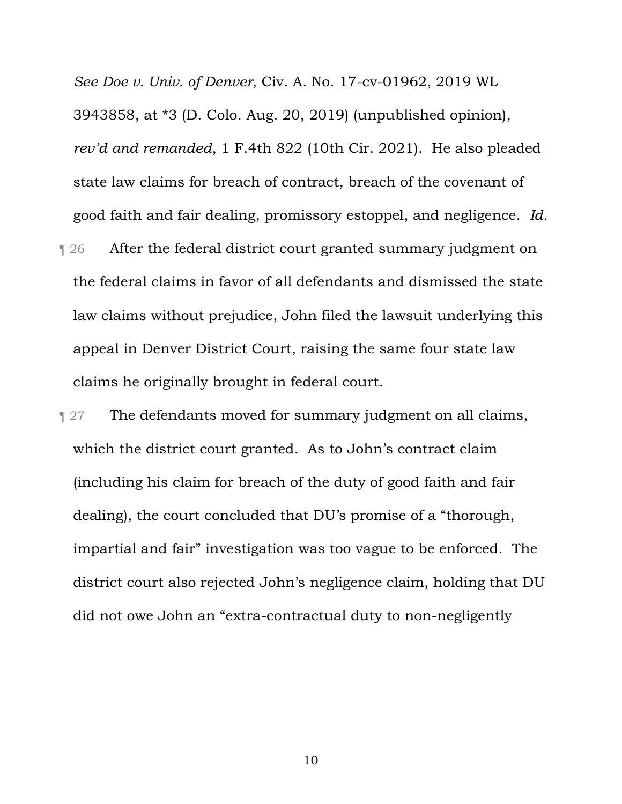*See Doe v. Univ. of Denver*, Civ. A. No. 17-cv-01962, 2019 WL 3943858, at \*3 (D. Colo. Aug. 20, 2019) (unpublished opinion), *rev'd and remanded*, 1 F.4th 822 (10th Cir. 2021). He also pleaded state law claims for breach of contract, breach of the covenant of good faith and fair dealing, promissory estoppel, and negligence. *Id.* 

- ¶ 26 After the federal district court granted summary judgment on the federal claims in favor of all defendants and dismissed the state law claims without prejudice, John filed the lawsuit underlying this appeal in Denver District Court, raising the same four state law claims he originally brought in federal court.
- **The defendants moved for summary judgment on all claims,** which the district court granted. As to John's contract claim (including his claim for breach of the duty of good faith and fair dealing), the court concluded that DU's promise of a "thorough, impartial and fair" investigation was too vague to be enforced. The district court also rejected John's negligence claim, holding that DU did not owe John an "extra-contractual duty to non-negligently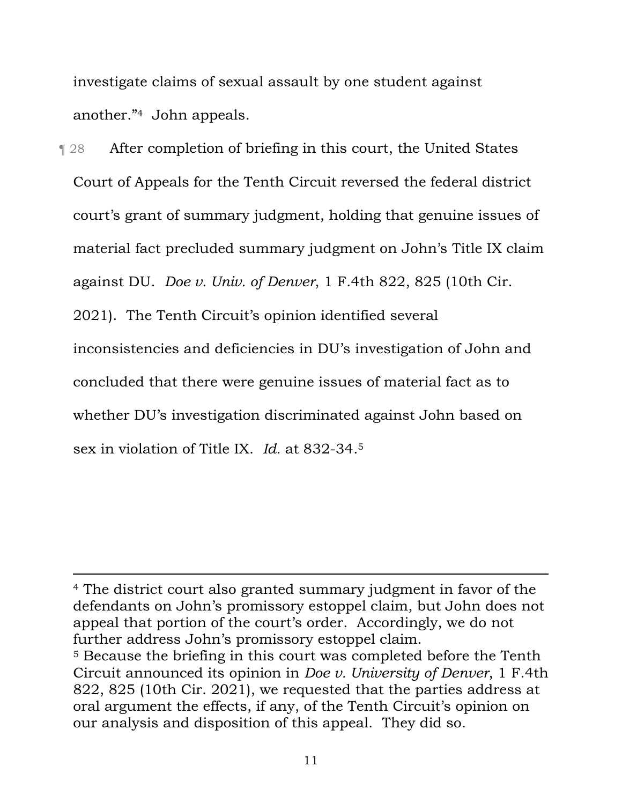investigate claims of sexual assault by one student against another."4 John appeals.

¶ 28 After completion of briefing in this court, the United States Court of Appeals for the Tenth Circuit reversed the federal district court's grant of summary judgment, holding that genuine issues of material fact precluded summary judgment on John's Title IX claim against DU. *Doe v. Univ. of Denver*, 1 F.4th 822, 825 (10th Cir. 2021). The Tenth Circuit's opinion identified several inconsistencies and deficiencies in DU's investigation of John and concluded that there were genuine issues of material fact as to whether DU's investigation discriminated against John based on sex in violation of Title IX. *Id.* at 832-34.5

<sup>4</sup> The district court also granted summary judgment in favor of the defendants on John's promissory estoppel claim, but John does not appeal that portion of the court's order. Accordingly, we do not further address John's promissory estoppel claim.

<sup>5</sup> Because the briefing in this court was completed before the Tenth Circuit announced its opinion in *Doe v. University of Denver*, 1 F.4th 822, 825 (10th Cir. 2021), we requested that the parties address at oral argument the effects, if any, of the Tenth Circuit's opinion on our analysis and disposition of this appeal. They did so.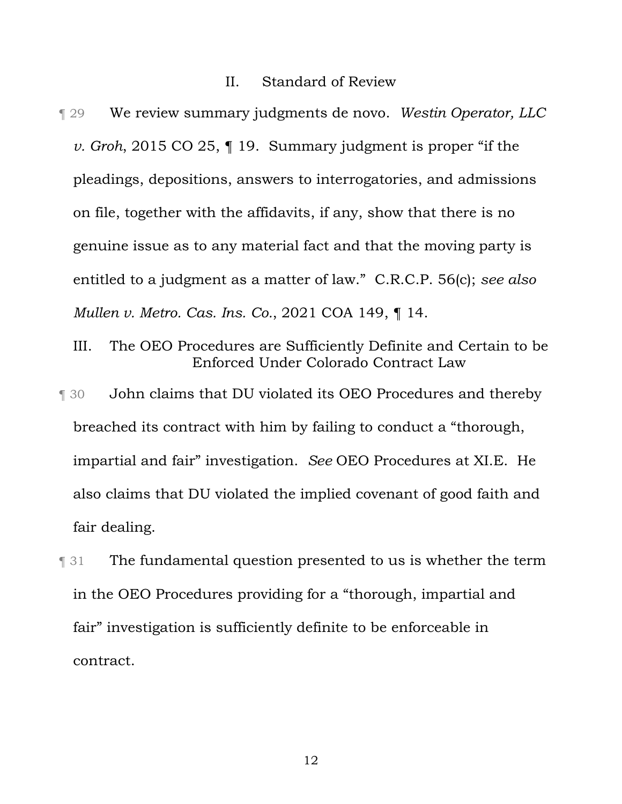#### II. Standard of Review

- ¶ 29 We review summary judgments de novo. *Westin Operator, LLC v. Groh*, 2015 CO 25, ¶ 19. Summary judgment is proper "if the pleadings, depositions, answers to interrogatories, and admissions on file, together with the affidavits, if any, show that there is no genuine issue as to any material fact and that the moving party is entitled to a judgment as a matter of law." C.R.C.P. 56(c); *see also Mullen v. Metro. Cas. Ins. Co.*, 2021 COA 149, ¶ 14.
	- III. The OEO Procedures are Sufficiently Definite and Certain to be Enforced Under Colorado Contract Law
- ¶ 30 John claims that DU violated its OEO Procedures and thereby breached its contract with him by failing to conduct a "thorough, impartial and fair" investigation. *See* OEO Procedures at XI.E. He also claims that DU violated the implied covenant of good faith and fair dealing.
- ¶ 31 The fundamental question presented to us is whether the term in the OEO Procedures providing for a "thorough, impartial and fair" investigation is sufficiently definite to be enforceable in contract.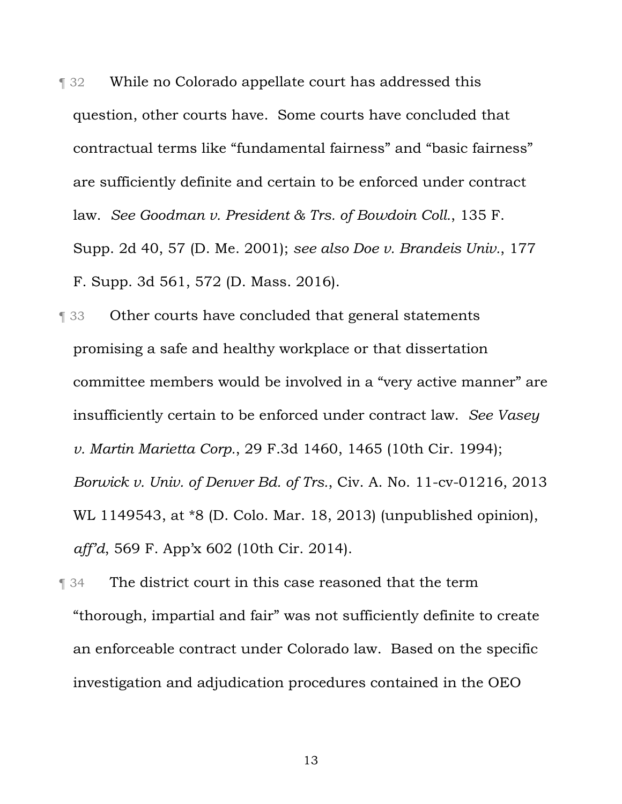¶ 32 While no Colorado appellate court has addressed this question, other courts have. Some courts have concluded that contractual terms like "fundamental fairness" and "basic fairness" are sufficiently definite and certain to be enforced under contract law. *See Goodman v. President & Trs. of Bowdoin Coll.*, 135 F. Supp. 2d 40, 57 (D. Me. 2001); *see also Doe v. Brandeis Univ.*, 177 F. Supp. 3d 561, 572 (D. Mass. 2016).

¶ 33 Other courts have concluded that general statements promising a safe and healthy workplace or that dissertation committee members would be involved in a "very active manner" are insufficiently certain to be enforced under contract law. *See Vasey v. Martin Marietta Corp.*, 29 F.3d 1460, 1465 (10th Cir. 1994); *Borwick v. Univ. of Denver Bd. of Trs.*, Civ. A. No. 11-cv-01216, 2013 WL 1149543, at \*8 (D. Colo. Mar. 18, 2013) (unpublished opinion), *aff'd*, 569 F. App'x 602 (10th Cir. 2014).

**The district court in this case reasoned that the term** "thorough, impartial and fair" was not sufficiently definite to create an enforceable contract under Colorado law. Based on the specific investigation and adjudication procedures contained in the OEO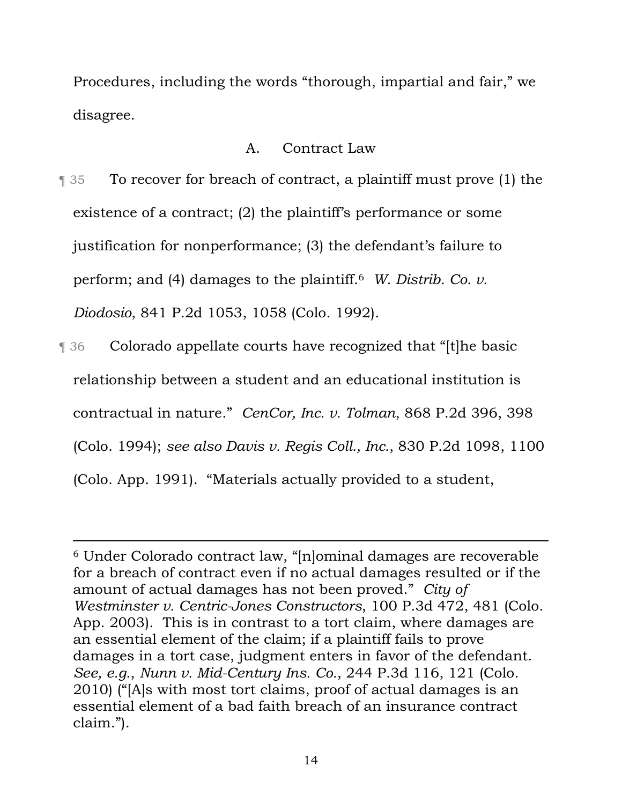Procedures, including the words "thorough, impartial and fair," we disagree.

## A. Contract Law

¶ 35 To recover for breach of contract, a plaintiff must prove (1) the existence of a contract; (2) the plaintiff's performance or some justification for nonperformance; (3) the defendant's failure to perform; and (4) damages to the plaintiff.6 *W. Distrib. Co. v. Diodosio*, 841 P.2d 1053, 1058 (Colo. 1992).

¶ 36 Colorado appellate courts have recognized that "[t]he basic relationship between a student and an educational institution is contractual in nature." *CenCor, Inc. v. Tolman*, 868 P.2d 396, 398 (Colo. 1994); *see also Davis v. Regis Coll., Inc.*, 830 P.2d 1098, 1100 (Colo. App. 1991). "Materials actually provided to a student,

<sup>6</sup> Under Colorado contract law, "[n]ominal damages are recoverable for a breach of contract even if no actual damages resulted or if the amount of actual damages has not been proved." *City of Westminster v. Centric-Jones Constructors*, 100 P.3d 472, 481 (Colo. App. 2003). This is in contrast to a tort claim, where damages are an essential element of the claim; if a plaintiff fails to prove damages in a tort case, judgment enters in favor of the defendant. *See, e.g.*, *Nunn v. Mid-Century Ins. Co.*, 244 P.3d 116, 121 (Colo. 2010) ("[A]s with most tort claims, proof of actual damages is an essential element of a bad faith breach of an insurance contract claim.").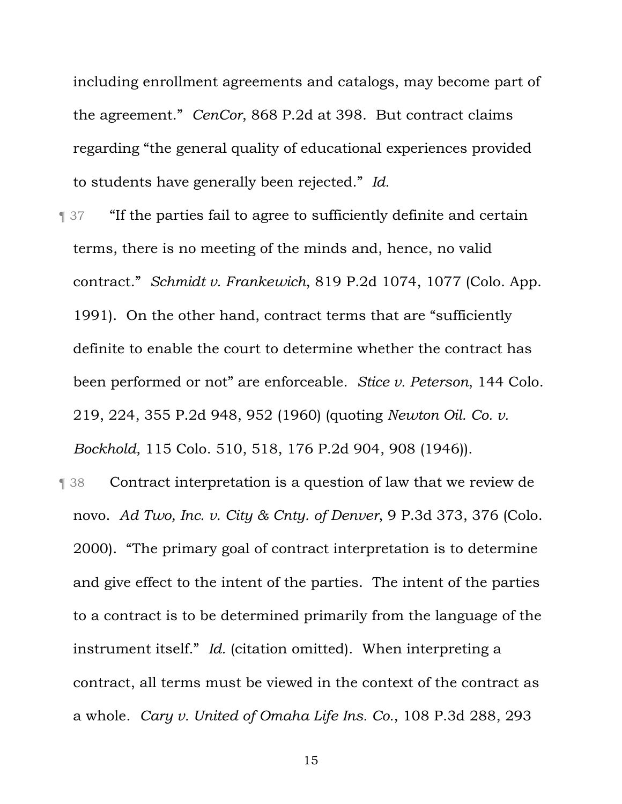including enrollment agreements and catalogs, may become part of the agreement." *CenCor*, 868 P.2d at 398. But contract claims regarding "the general quality of educational experiences provided to students have generally been rejected." *Id.*

- ¶ 37 "If the parties fail to agree to sufficiently definite and certain terms, there is no meeting of the minds and, hence, no valid contract." *Schmidt v. Frankewich*, 819 P.2d 1074, 1077 (Colo. App. 1991). On the other hand, contract terms that are "sufficiently definite to enable the court to determine whether the contract has been performed or not" are enforceable. *Stice v. Peterson*, 144 Colo. 219, 224, 355 P.2d 948, 952 (1960) (quoting *Newton Oil. Co. v. Bockhold*, 115 Colo. 510, 518, 176 P.2d 904, 908 (1946)).
- ¶ 38 Contract interpretation is a question of law that we review de novo. *Ad Two, Inc. v. City & Cnty. of Denver*, 9 P.3d 373, 376 (Colo. 2000). "The primary goal of contract interpretation is to determine and give effect to the intent of the parties. The intent of the parties to a contract is to be determined primarily from the language of the instrument itself." *Id.* (citation omitted). When interpreting a contract, all terms must be viewed in the context of the contract as a whole. *Cary v. United of Omaha Life Ins. Co.*, 108 P.3d 288, 293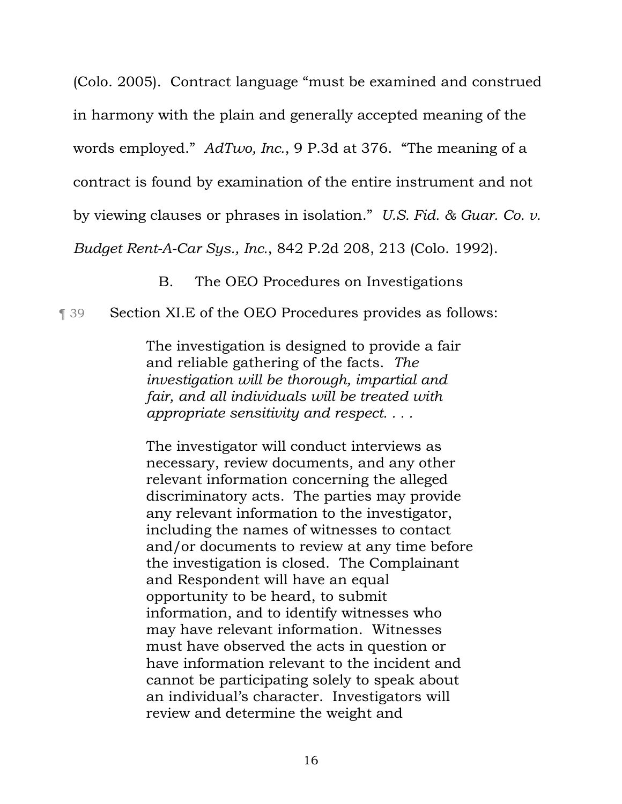(Colo. 2005). Contract language "must be examined and construed in harmony with the plain and generally accepted meaning of the words employed." *AdTwo, Inc.*, 9 P.3d at 376. "The meaning of a contract is found by examination of the entire instrument and not by viewing clauses or phrases in isolation." *U.S. Fid. & Guar. Co. v.*

*Budget Rent-A-Car Sys., Inc.*, 842 P.2d 208, 213 (Colo. 1992).

B. The OEO Procedures on Investigations

# ¶ 39 Section XI.E of the OEO Procedures provides as follows:

The investigation is designed to provide a fair and reliable gathering of the facts. *The investigation will be thorough, impartial and fair, and all individuals will be treated with appropriate sensitivity and respect. . . .*

The investigator will conduct interviews as necessary, review documents, and any other relevant information concerning the alleged discriminatory acts. The parties may provide any relevant information to the investigator, including the names of witnesses to contact and/or documents to review at any time before the investigation is closed. The Complainant and Respondent will have an equal opportunity to be heard, to submit information, and to identify witnesses who may have relevant information. Witnesses must have observed the acts in question or have information relevant to the incident and cannot be participating solely to speak about an individual's character. Investigators will review and determine the weight and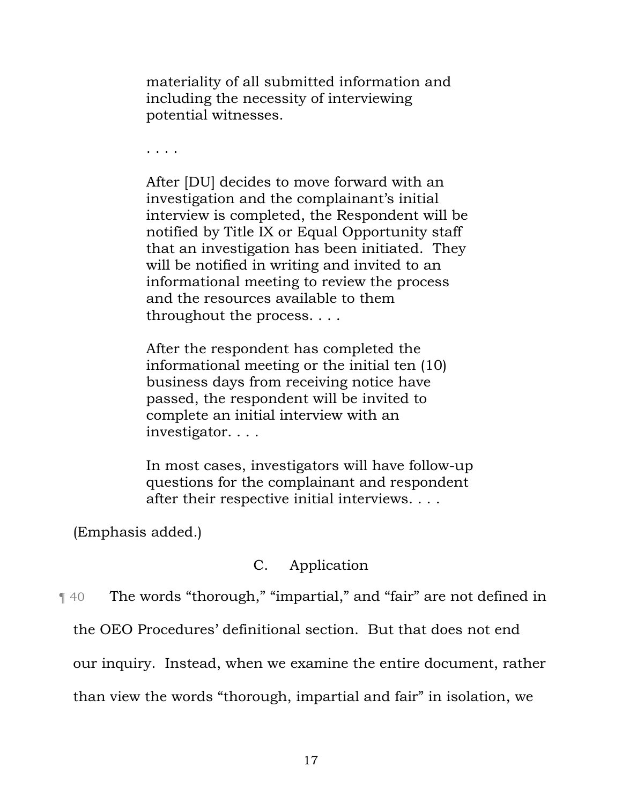materiality of all submitted information and including the necessity of interviewing potential witnesses.

. . . .

After [DU] decides to move forward with an investigation and the complainant's initial interview is completed, the Respondent will be notified by Title IX or Equal Opportunity staff that an investigation has been initiated. They will be notified in writing and invited to an informational meeting to review the process and the resources available to them throughout the process. . . .

After the respondent has completed the informational meeting or the initial ten (10) business days from receiving notice have passed, the respondent will be invited to complete an initial interview with an investigator. . . .

In most cases, investigators will have follow-up questions for the complainant and respondent after their respective initial interviews. . . .

(Emphasis added.)

## C. Application

¶ 40 The words "thorough," "impartial," and "fair" are not defined in

the OEO Procedures' definitional section. But that does not end

our inquiry. Instead, when we examine the entire document, rather

than view the words "thorough, impartial and fair" in isolation, we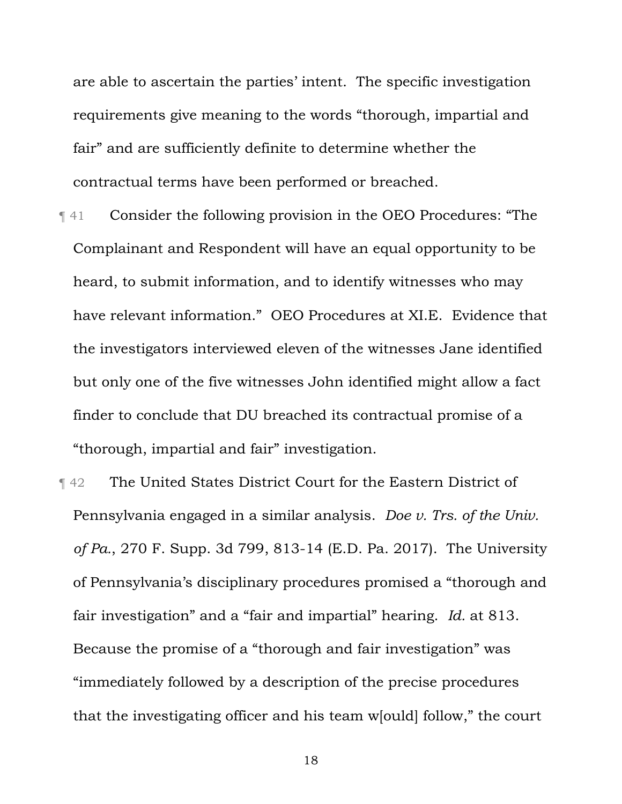are able to ascertain the parties' intent. The specific investigation requirements give meaning to the words "thorough, impartial and fair" and are sufficiently definite to determine whether the contractual terms have been performed or breached.

- ¶ 41 Consider the following provision in the OEO Procedures: "The Complainant and Respondent will have an equal opportunity to be heard, to submit information, and to identify witnesses who may have relevant information." OEO Procedures at XI.E. Evidence that the investigators interviewed eleven of the witnesses Jane identified but only one of the five witnesses John identified might allow a fact finder to conclude that DU breached its contractual promise of a "thorough, impartial and fair" investigation.
- ¶ 42 The United States District Court for the Eastern District of Pennsylvania engaged in a similar analysis. *Doe v. Trs. of the Univ. of Pa.*, 270 F. Supp. 3d 799, 813-14 (E.D. Pa. 2017). The University of Pennsylvania's disciplinary procedures promised a "thorough and fair investigation" and a "fair and impartial" hearing. *Id.* at 813. Because the promise of a "thorough and fair investigation" was "immediately followed by a description of the precise procedures that the investigating officer and his team w[ould] follow," the court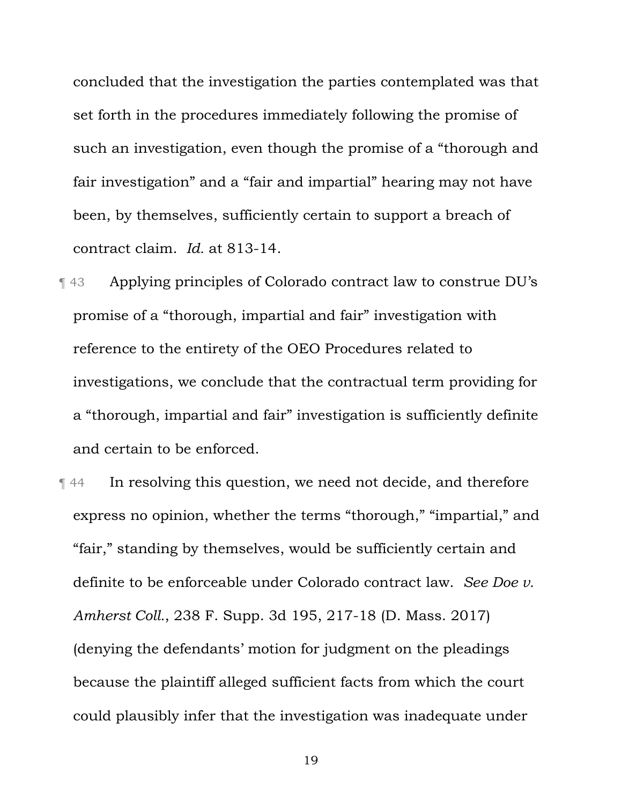concluded that the investigation the parties contemplated was that set forth in the procedures immediately following the promise of such an investigation, even though the promise of a "thorough and fair investigation" and a "fair and impartial" hearing may not have been, by themselves, sufficiently certain to support a breach of contract claim. *Id.* at 813-14.

- ¶ 43 Applying principles of Colorado contract law to construe DU's promise of a "thorough, impartial and fair" investigation with reference to the entirety of the OEO Procedures related to investigations, we conclude that the contractual term providing for a "thorough, impartial and fair" investigation is sufficiently definite and certain to be enforced.
- ¶ 44 In resolving this question, we need not decide, and therefore express no opinion, whether the terms "thorough," "impartial," and "fair," standing by themselves, would be sufficiently certain and definite to be enforceable under Colorado contract law. *See Doe v. Amherst Coll.*, 238 F. Supp. 3d 195, 217-18 (D. Mass. 2017) (denying the defendants' motion for judgment on the pleadings because the plaintiff alleged sufficient facts from which the court could plausibly infer that the investigation was inadequate under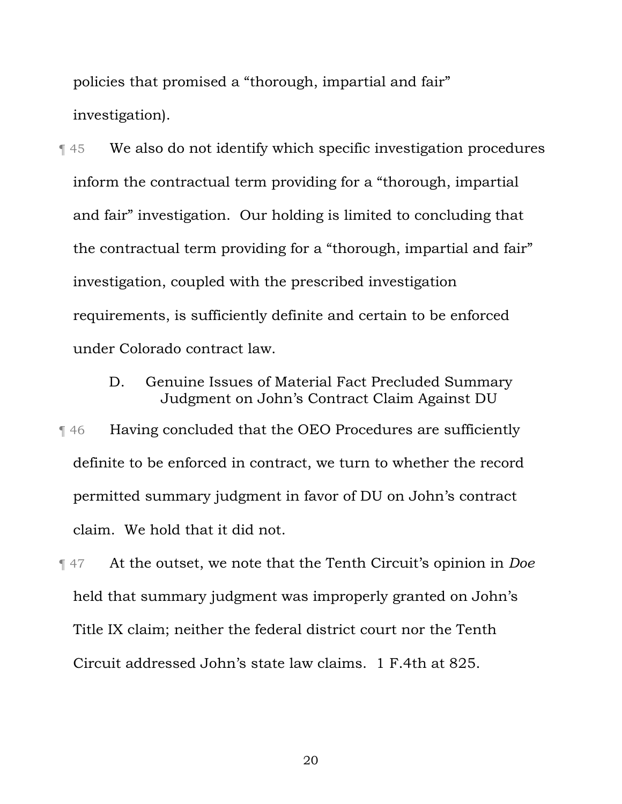policies that promised a "thorough, impartial and fair" investigation).

¶ 45 We also do not identify which specific investigation procedures inform the contractual term providing for a "thorough, impartial and fair" investigation. Our holding is limited to concluding that the contractual term providing for a "thorough, impartial and fair" investigation, coupled with the prescribed investigation requirements, is sufficiently definite and certain to be enforced under Colorado contract law.

> D. Genuine Issues of Material Fact Precluded Summary Judgment on John's Contract Claim Against DU

¶ 46 Having concluded that the OEO Procedures are sufficiently definite to be enforced in contract, we turn to whether the record permitted summary judgment in favor of DU on John's contract claim. We hold that it did not.

¶ 47 At the outset, we note that the Tenth Circuit's opinion in *Doe* held that summary judgment was improperly granted on John's Title IX claim; neither the federal district court nor the Tenth Circuit addressed John's state law claims. 1 F.4th at 825.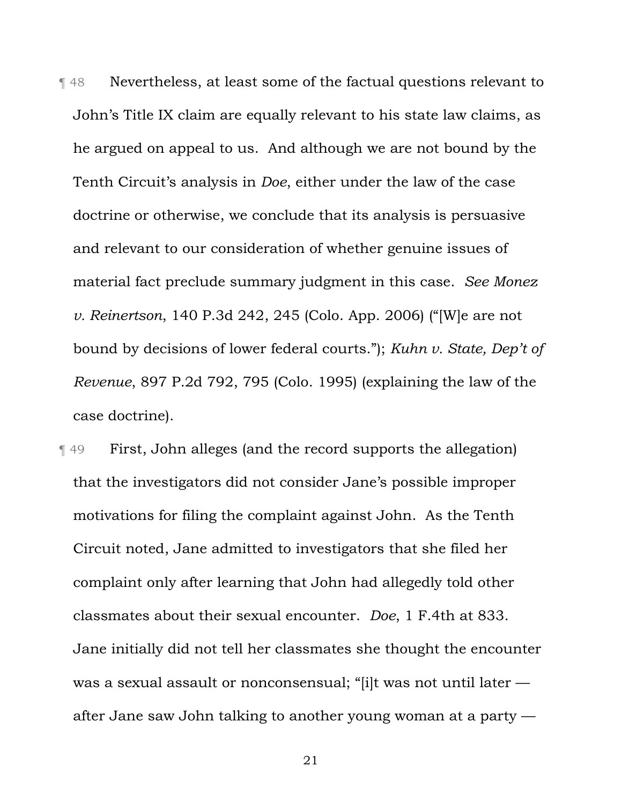¶ 48 Nevertheless, at least some of the factual questions relevant to John's Title IX claim are equally relevant to his state law claims, as he argued on appeal to us. And although we are not bound by the Tenth Circuit's analysis in *Doe*, either under the law of the case doctrine or otherwise, we conclude that its analysis is persuasive and relevant to our consideration of whether genuine issues of material fact preclude summary judgment in this case. *See Monez v. Reinertson*, 140 P.3d 242, 245 (Colo. App. 2006) ("[W]e are not bound by decisions of lower federal courts."); *Kuhn v. State, Dep't of Revenue*, 897 P.2d 792, 795 (Colo. 1995) (explaining the law of the case doctrine).

¶ 49 First, John alleges (and the record supports the allegation) that the investigators did not consider Jane's possible improper motivations for filing the complaint against John. As the Tenth Circuit noted, Jane admitted to investigators that she filed her complaint only after learning that John had allegedly told other classmates about their sexual encounter. *Doe*, 1 F.4th at 833. Jane initially did not tell her classmates she thought the encounter was a sexual assault or nonconsensual; "[i]t was not until later after Jane saw John talking to another young woman at a party —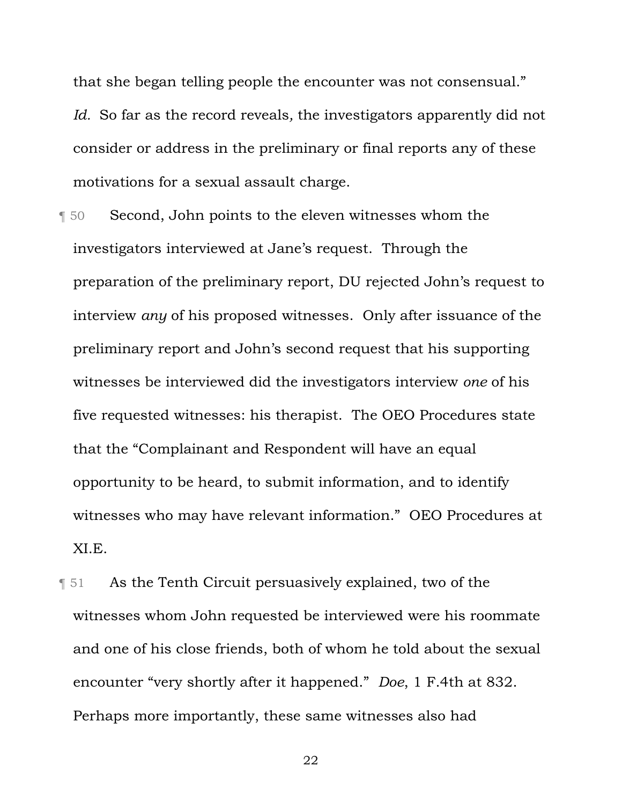that she began telling people the encounter was not consensual."

*Id.* So far as the record reveals*,* the investigators apparently did not consider or address in the preliminary or final reports any of these motivations for a sexual assault charge.

- ¶ 50 Second, John points to the eleven witnesses whom the investigators interviewed at Jane's request. Through the preparation of the preliminary report, DU rejected John's request to interview *any* of his proposed witnesses. Only after issuance of the preliminary report and John's second request that his supporting witnesses be interviewed did the investigators interview *one* of his five requested witnesses: his therapist. The OEO Procedures state that the "Complainant and Respondent will have an equal opportunity to be heard, to submit information, and to identify witnesses who may have relevant information." OEO Procedures at XI.E.
- ¶ 51 As the Tenth Circuit persuasively explained, two of the witnesses whom John requested be interviewed were his roommate and one of his close friends, both of whom he told about the sexual encounter "very shortly after it happened." *Doe*, 1 F.4th at 832. Perhaps more importantly, these same witnesses also had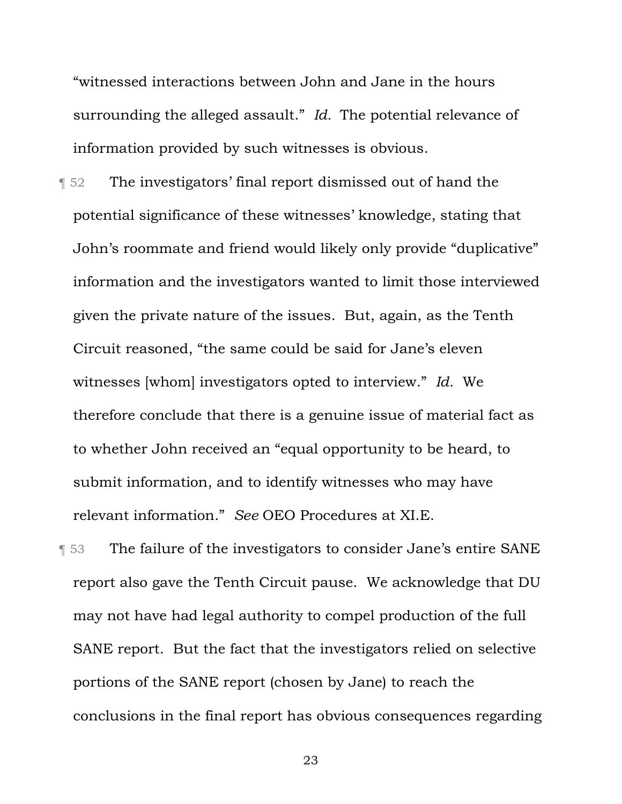"witnessed interactions between John and Jane in the hours surrounding the alleged assault." *Id.* The potential relevance of information provided by such witnesses is obvious.

¶ 52 The investigators' final report dismissed out of hand the potential significance of these witnesses' knowledge, stating that John's roommate and friend would likely only provide "duplicative" information and the investigators wanted to limit those interviewed given the private nature of the issues. But, again, as the Tenth Circuit reasoned, "the same could be said for Jane's eleven witnesses [whom] investigators opted to interview." *Id.* We therefore conclude that there is a genuine issue of material fact as to whether John received an "equal opportunity to be heard, to submit information, and to identify witnesses who may have relevant information." *See* OEO Procedures at XI.E.

**The failure of the investigators to consider Jane's entire SANE** report also gave the Tenth Circuit pause. We acknowledge that DU may not have had legal authority to compel production of the full SANE report. But the fact that the investigators relied on selective portions of the SANE report (chosen by Jane) to reach the conclusions in the final report has obvious consequences regarding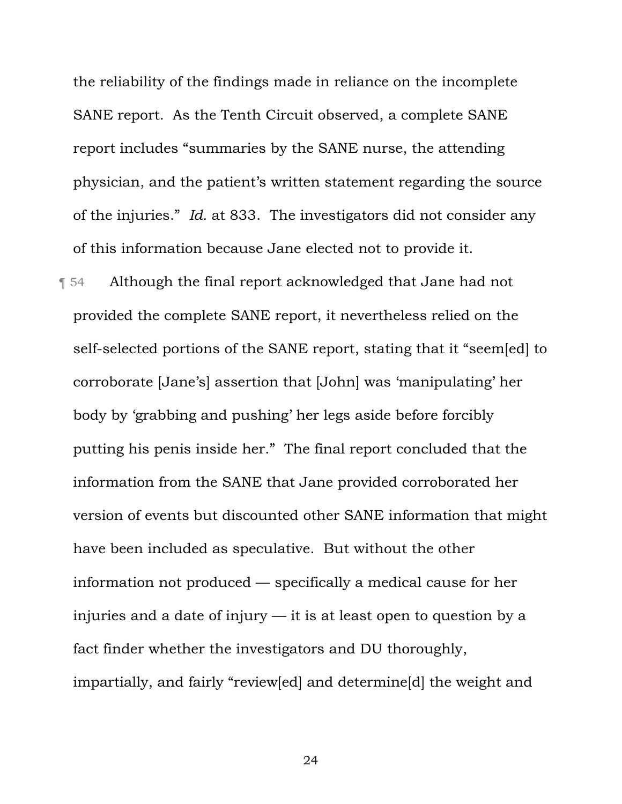the reliability of the findings made in reliance on the incomplete SANE report. As the Tenth Circuit observed, a complete SANE report includes "summaries by the SANE nurse, the attending physician, and the patient's written statement regarding the source of the injuries." *Id.* at 833. The investigators did not consider any of this information because Jane elected not to provide it.

¶ 54 Although the final report acknowledged that Jane had not provided the complete SANE report, it nevertheless relied on the self-selected portions of the SANE report, stating that it "seem[ed] to corroborate [Jane's] assertion that [John] was 'manipulating' her body by 'grabbing and pushing' her legs aside before forcibly putting his penis inside her." The final report concluded that the information from the SANE that Jane provided corroborated her version of events but discounted other SANE information that might have been included as speculative. But without the other information not produced — specifically a medical cause for her injuries and a date of injury — it is at least open to question by a fact finder whether the investigators and DU thoroughly, impartially, and fairly "review[ed] and determine[d] the weight and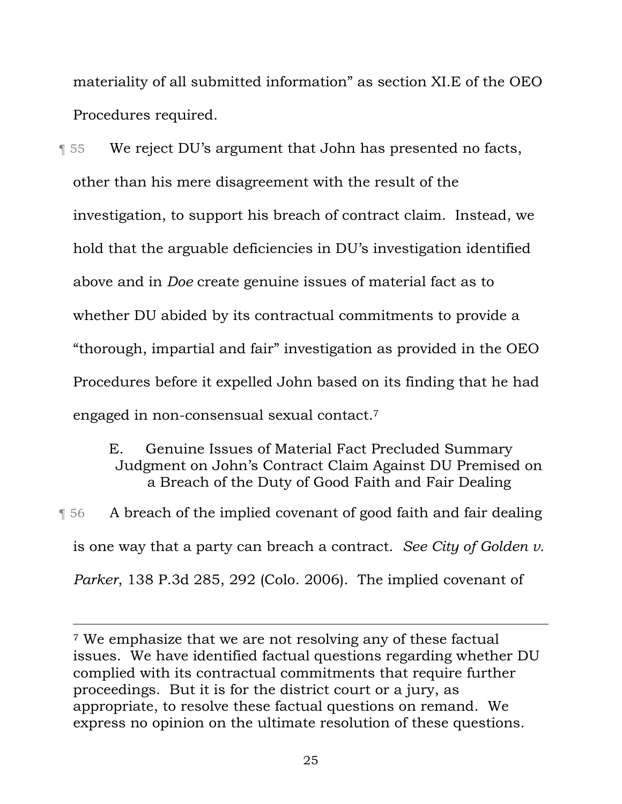materiality of all submitted information" as section XI.E of the OEO Procedures required.

¶ 55 We reject DU's argument that John has presented no facts, other than his mere disagreement with the result of the investigation, to support his breach of contract claim. Instead, we hold that the arguable deficiencies in DU's investigation identified above and in *Doe* create genuine issues of material fact as to whether DU abided by its contractual commitments to provide a "thorough, impartial and fair" investigation as provided in the OEO Procedures before it expelled John based on its finding that he had engaged in non-consensual sexual contact.7

> E. Genuine Issues of Material Fact Precluded Summary Judgment on John's Contract Claim Against DU Premised on a Breach of the Duty of Good Faith and Fair Dealing

¶ 56 A breach of the implied covenant of good faith and fair dealing is one way that a party can breach a contract. *See City of Golden v. Parker*, 138 P.3d 285, 292 (Colo. 2006). The implied covenant of

<sup>7</sup> We emphasize that we are not resolving any of these factual issues. We have identified factual questions regarding whether DU complied with its contractual commitments that require further proceedings. But it is for the district court or a jury, as appropriate, to resolve these factual questions on remand. We express no opinion on the ultimate resolution of these questions.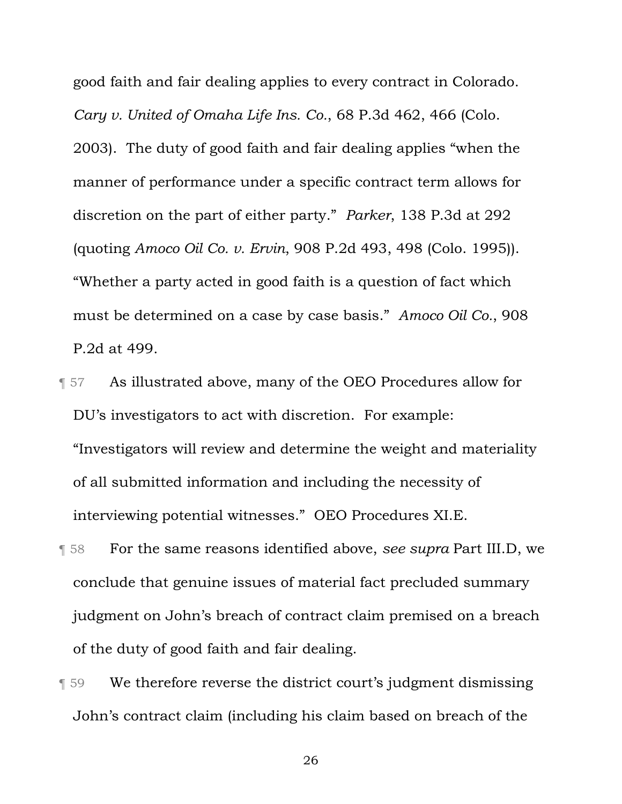good faith and fair dealing applies to every contract in Colorado. *Cary v. United of Omaha Life Ins. Co.*, 68 P.3d 462, 466 (Colo. 2003). The duty of good faith and fair dealing applies "when the manner of performance under a specific contract term allows for discretion on the part of either party." *Parker*, 138 P.3d at 292 (quoting *Amoco Oil Co. v. Ervin*, 908 P.2d 493, 498 (Colo. 1995)). "Whether a party acted in good faith is a question of fact which must be determined on a case by case basis." *Amoco Oil Co.*, 908 P.2d at 499.

- ¶ 57 As illustrated above, many of the OEO Procedures allow for DU's investigators to act with discretion. For example: "Investigators will review and determine the weight and materiality of all submitted information and including the necessity of interviewing potential witnesses." OEO Procedures XI.E.
- ¶ 58 For the same reasons identified above, *see supra* Part III.D, we conclude that genuine issues of material fact precluded summary judgment on John's breach of contract claim premised on a breach of the duty of good faith and fair dealing.
- ¶ 59 We therefore reverse the district court's judgment dismissing John's contract claim (including his claim based on breach of the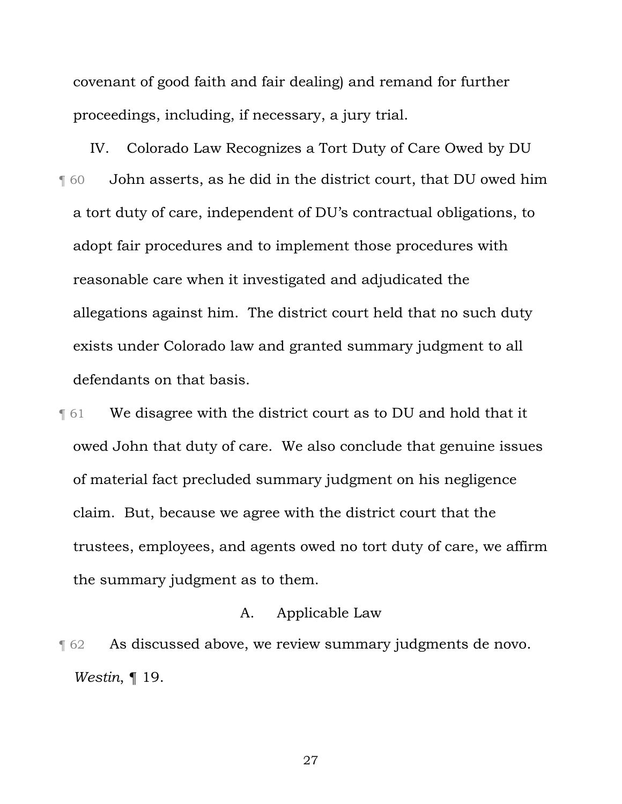covenant of good faith and fair dealing) and remand for further proceedings, including, if necessary, a jury trial.

IV. Colorado Law Recognizes a Tort Duty of Care Owed by DU ¶ 60 John asserts, as he did in the district court, that DU owed him a tort duty of care, independent of DU's contractual obligations, to adopt fair procedures and to implement those procedures with reasonable care when it investigated and adjudicated the allegations against him. The district court held that no such duty exists under Colorado law and granted summary judgment to all defendants on that basis.

**The UP of Strate 6** We disagree with the district court as to DU and hold that it owed John that duty of care. We also conclude that genuine issues of material fact precluded summary judgment on his negligence claim. But, because we agree with the district court that the trustees, employees, and agents owed no tort duty of care, we affirm the summary judgment as to them.

#### A. Applicable Law

¶ 62 As discussed above, we review summary judgments de novo. *Westin*, ¶ 19.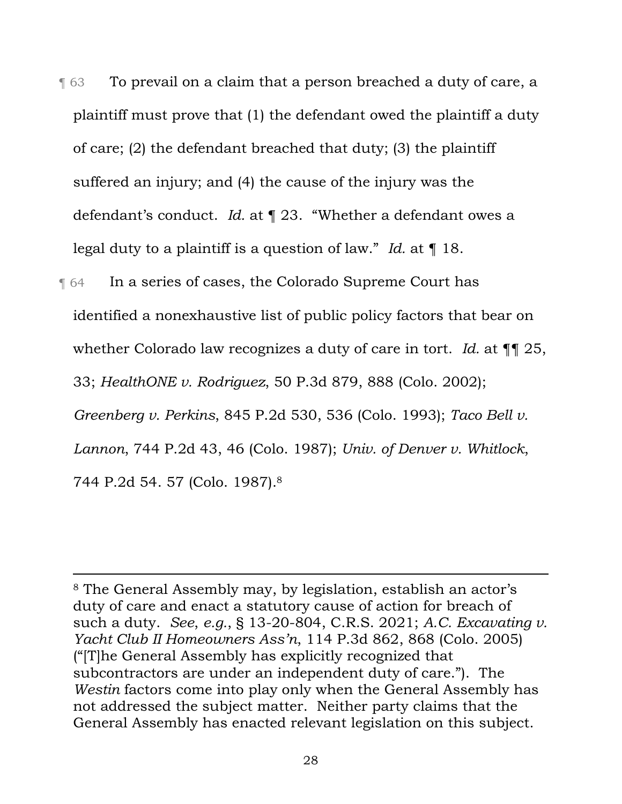- ¶ 63 To prevail on a claim that a person breached a duty of care, a plaintiff must prove that (1) the defendant owed the plaintiff a duty of care; (2) the defendant breached that duty; (3) the plaintiff suffered an injury; and (4) the cause of the injury was the defendant's conduct. *Id.* at ¶ 23. "Whether a defendant owes a legal duty to a plaintiff is a question of law." *Id.* at ¶ 18.
- **The Strutter in a series of cases, the Colorado Supreme Court has** identified a nonexhaustive list of public policy factors that bear on whether Colorado law recognizes a duty of care in tort. *Id.* at ¶¶ 25, 33; *HealthONE v. Rodriguez*, 50 P.3d 879, 888 (Colo. 2002); *Greenberg v. Perkins*, 845 P.2d 530, 536 (Colo. 1993); *Taco Bell v. Lannon*, 744 P.2d 43, 46 (Colo. 1987); *Univ. of Denver v. Whitlock*, 744 P.2d 54. 57 (Colo. 1987).8

<sup>8</sup> The General Assembly may, by legislation, establish an actor's duty of care and enact a statutory cause of action for breach of such a duty. *See*, *e.g.*, § 13-20-804, C.R.S. 2021; *A.C. Excavating v. Yacht Club II Homeowners Ass'n*, 114 P.3d 862, 868 (Colo. 2005) ("[T]he General Assembly has explicitly recognized that subcontractors are under an independent duty of care."). The *Westin* factors come into play only when the General Assembly has not addressed the subject matter. Neither party claims that the General Assembly has enacted relevant legislation on this subject.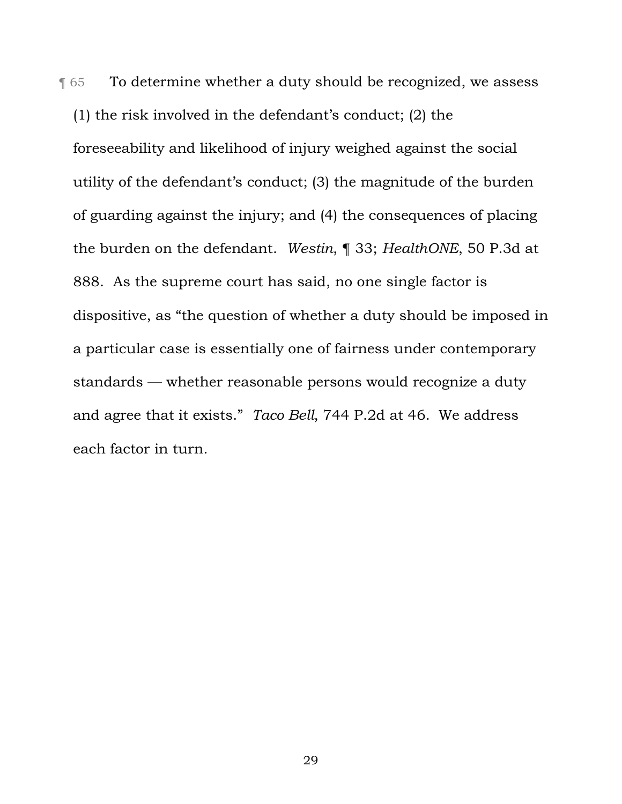**To determine whether a duty should be recognized, we assess** (1) the risk involved in the defendant's conduct; (2) the foreseeability and likelihood of injury weighed against the social utility of the defendant's conduct; (3) the magnitude of the burden of guarding against the injury; and (4) the consequences of placing the burden on the defendant. *Westin*, ¶ 33; *HealthONE*, 50 P.3d at 888. As the supreme court has said, no one single factor is dispositive, as "the question of whether a duty should be imposed in a particular case is essentially one of fairness under contemporary standards — whether reasonable persons would recognize a duty and agree that it exists." *Taco Bell*, 744 P.2d at 46.We address each factor in turn.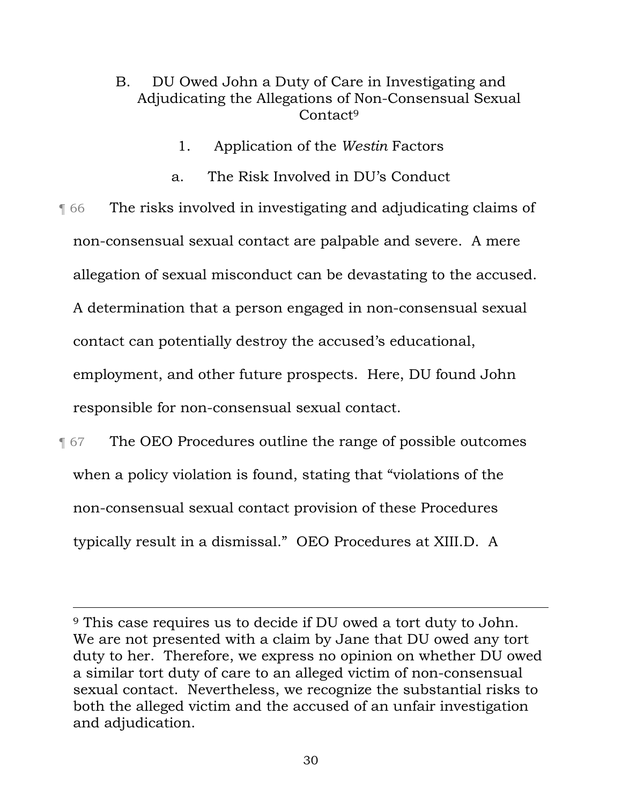# B. DU Owed John a Duty of Care in Investigating and Adjudicating the Allegations of Non-Consensual Sexual Contact<sup>9</sup>

- 1. Application of the *Westin* Factors
- a. The Risk Involved in DU's Conduct

¶ 66 The risks involved in investigating and adjudicating claims of non-consensual sexual contact are palpable and severe. A mere allegation of sexual misconduct can be devastating to the accused. A determination that a person engaged in non-consensual sexual contact can potentially destroy the accused's educational, employment, and other future prospects. Here, DU found John responsible for non-consensual sexual contact.

**The OEO Procedures outline the range of possible outcomes** when a policy violation is found, stating that "violations of the non-consensual sexual contact provision of these Procedures typically result in a dismissal." OEO Procedures at XIII.D. A

<sup>9</sup> This case requires us to decide if DU owed a tort duty to John. We are not presented with a claim by Jane that DU owed any tort duty to her. Therefore, we express no opinion on whether DU owed a similar tort duty of care to an alleged victim of non-consensual sexual contact. Nevertheless, we recognize the substantial risks to both the alleged victim and the accused of an unfair investigation and adjudication.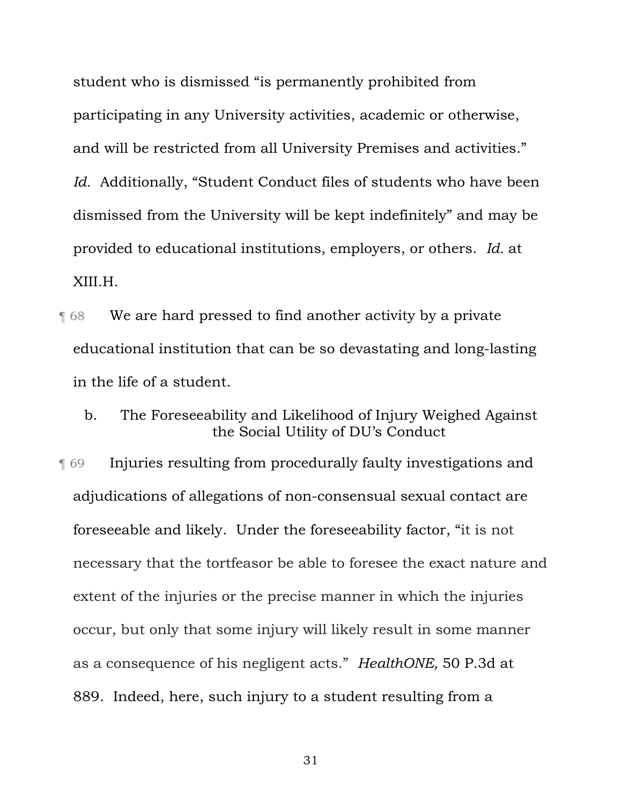student who is dismissed "is permanently prohibited from participating in any University activities, academic or otherwise, and will be restricted from all University Premises and activities." *Id.* Additionally, "Student Conduct files of students who have been dismissed from the University will be kept indefinitely" and may be provided to educational institutions, employers, or others. *Id.* at XIII.H.

- **T** 68 We are hard pressed to find another activity by a private educational institution that can be so devastating and long-lasting in the life of a student.
	- b. The Foreseeability and Likelihood of Injury Weighed Against the Social Utility of DU's Conduct

¶ 69 Injuries resulting from procedurally faulty investigations and adjudications of allegations of non-consensual sexual contact are foreseeable and likely. Under the foreseeability factor, "it is not necessary that the tortfeasor be able to foresee the exact nature and extent of the injuries or the precise manner in which the injuries occur, but only that some injury will likely result in some manner as a consequence of his negligent acts." *HealthONE,* 50 P.3d at 889. Indeed, here, such injury to a student resulting from a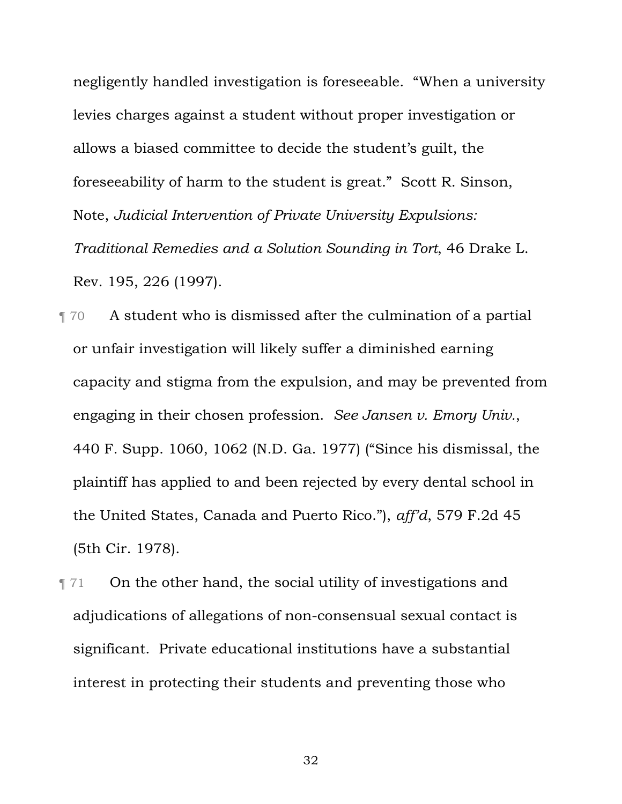negligently handled investigation is foreseeable. "When a university levies charges against a student without proper investigation or allows a biased committee to decide the student's guilt, the foreseeability of harm to the student is great." Scott R. Sinson, Note, *Judicial Intervention of Private University Expulsions: Traditional Remedies and a Solution Sounding in Tort*, 46 Drake L. Rev. 195, 226 (1997).

¶ 70 A student who is dismissed after the culmination of a partial or unfair investigation will likely suffer a diminished earning capacity and stigma from the expulsion, and may be prevented from engaging in their chosen profession. *See Jansen v. Emory Univ.*, 440 F. Supp. 1060, 1062 (N.D. Ga. 1977) ("Since his dismissal, the plaintiff has applied to and been rejected by every dental school in the United States, Canada and Puerto Rico."), *aff'd*, 579 F.2d 45 (5th Cir. 1978).

¶ 71 On the other hand, the social utility of investigations and adjudications of allegations of non-consensual sexual contact is significant. Private educational institutions have a substantial interest in protecting their students and preventing those who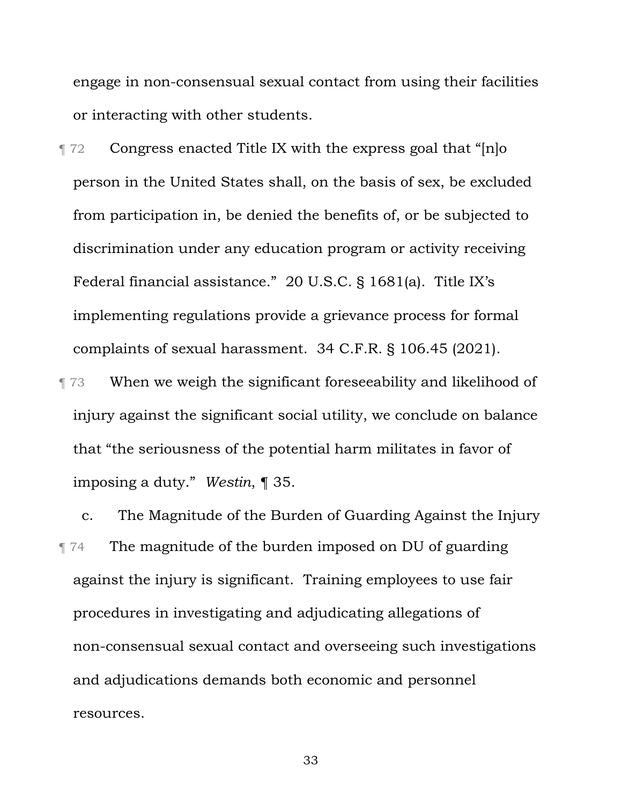engage in non-consensual sexual contact from using their facilities or interacting with other students.

¶ 72 Congress enacted Title IX with the express goal that "[n]o person in the United States shall, on the basis of sex, be excluded from participation in, be denied the benefits of, or be subjected to discrimination under any education program or activity receiving Federal financial assistance." 20 U.S.C. § 1681(a). Title IX's implementing regulations provide a grievance process for formal complaints of sexual harassment. 34 C.F.R. § 106.45 (2021).

¶ 73 When we weigh the significant foreseeability and likelihood of injury against the significant social utility, we conclude on balance that "the seriousness of the potential harm militates in favor of imposing a duty." *Westin*, ¶ 35.

c. The Magnitude of the Burden of Guarding Against the Injury ¶ 74 The magnitude of the burden imposed on DU of guarding against the injury is significant. Training employees to use fair procedures in investigating and adjudicating allegations of non-consensual sexual contact and overseeing such investigations and adjudications demands both economic and personnel resources.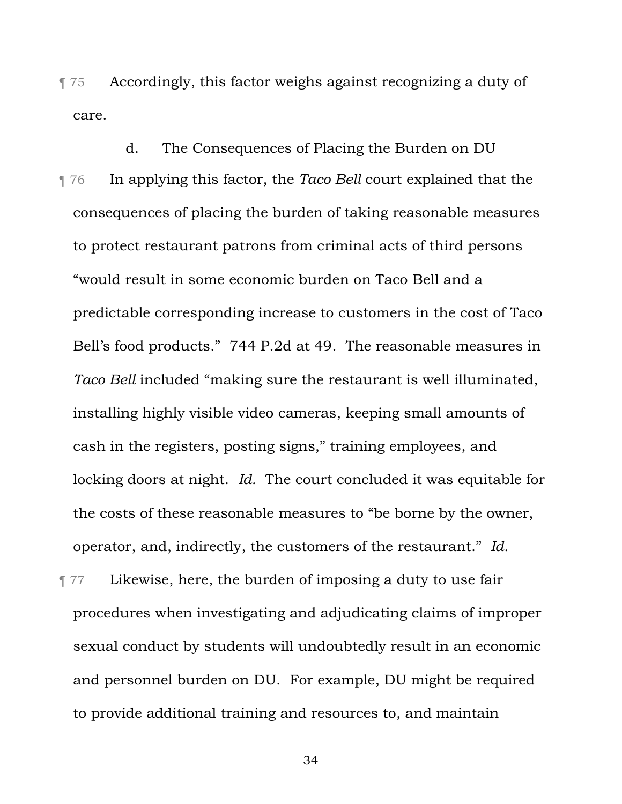¶ 75 Accordingly, this factor weighs against recognizing a duty of care.

d. The Consequences of Placing the Burden on DU ¶ 76 In applying this factor, the *Taco Bell* court explained that the consequences of placing the burden of taking reasonable measures to protect restaurant patrons from criminal acts of third persons "would result in some economic burden on Taco Bell and a predictable corresponding increase to customers in the cost of Taco Bell's food products." 744 P.2d at 49. The reasonable measures in *Taco Bell* included "making sure the restaurant is well illuminated, installing highly visible video cameras, keeping small amounts of cash in the registers, posting signs," training employees, and locking doors at night. *Id.* The court concluded it was equitable for the costs of these reasonable measures to "be borne by the owner, operator, and, indirectly, the customers of the restaurant." *Id.*

¶ 77 Likewise, here, the burden of imposing a duty to use fair procedures when investigating and adjudicating claims of improper sexual conduct by students will undoubtedly result in an economic and personnel burden on DU. For example, DU might be required to provide additional training and resources to, and maintain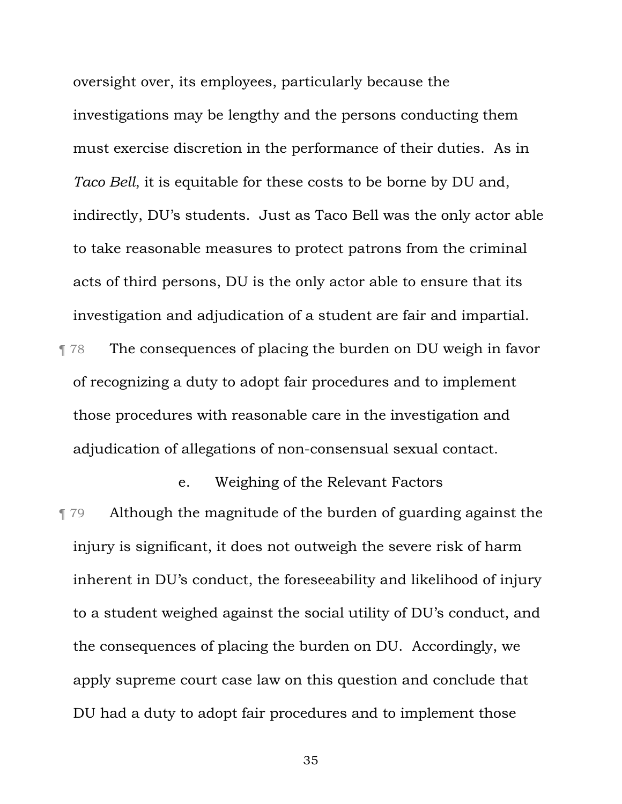oversight over, its employees, particularly because the investigations may be lengthy and the persons conducting them must exercise discretion in the performance of their duties. As in *Taco Bell*, it is equitable for these costs to be borne by DU and, indirectly, DU's students. Just as Taco Bell was the only actor able to take reasonable measures to protect patrons from the criminal acts of third persons, DU is the only actor able to ensure that its investigation and adjudication of a student are fair and impartial. ¶ 78 The consequences of placing the burden on DU weigh in favor of recognizing a duty to adopt fair procedures and to implement those procedures with reasonable care in the investigation and adjudication of allegations of non-consensual sexual contact.

e. Weighing of the Relevant Factors ¶ 79 Although the magnitude of the burden of guarding against the injury is significant, it does not outweigh the severe risk of harm inherent in DU's conduct, the foreseeability and likelihood of injury to a student weighed against the social utility of DU's conduct, and the consequences of placing the burden on DU. Accordingly, we apply supreme court case law on this question and conclude that DU had a duty to adopt fair procedures and to implement those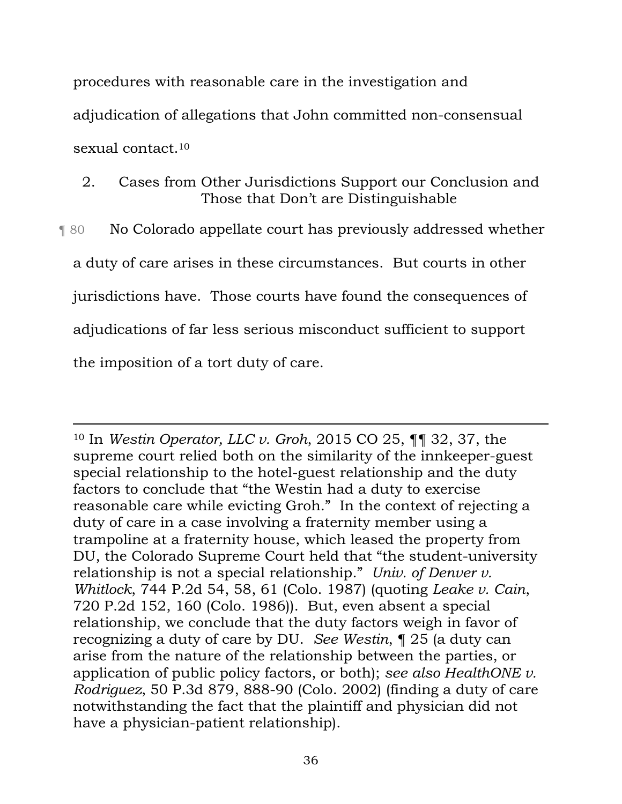procedures with reasonable care in the investigation and adjudication of allegations that John committed non-consensual sexual contact.<sup>10</sup>

2. Cases from Other Jurisdictions Support our Conclusion and Those that Don't are Distinguishable

¶ 80 No Colorado appellate court has previously addressed whether a duty of care arises in these circumstances. But courts in other jurisdictions have. Those courts have found the consequences of adjudications of far less serious misconduct sufficient to support the imposition of a tort duty of care.

<sup>10</sup> In *Westin Operator, LLC v. Groh*, 2015 CO 25, ¶¶ 32, 37, the supreme court relied both on the similarity of the innkeeper-guest special relationship to the hotel-guest relationship and the duty factors to conclude that "the Westin had a duty to exercise reasonable care while evicting Groh." In the context of rejecting a duty of care in a case involving a fraternity member using a trampoline at a fraternity house, which leased the property from DU, the Colorado Supreme Court held that "the student-university relationship is not a special relationship." *Univ. of Denver v. Whitlock*, 744 P.2d 54, 58, 61 (Colo. 1987) (quoting *Leake v. Cain*, 720 P.2d 152, 160 (Colo. 1986)). But, even absent a special relationship, we conclude that the duty factors weigh in favor of recognizing a duty of care by DU. *See Westin*, ¶ 25 (a duty can arise from the nature of the relationship between the parties, or application of public policy factors, or both); *see also HealthONE v. Rodriguez*, 50 P.3d 879, 888-90 (Colo. 2002) (finding a duty of care notwithstanding the fact that the plaintiff and physician did not have a physician-patient relationship).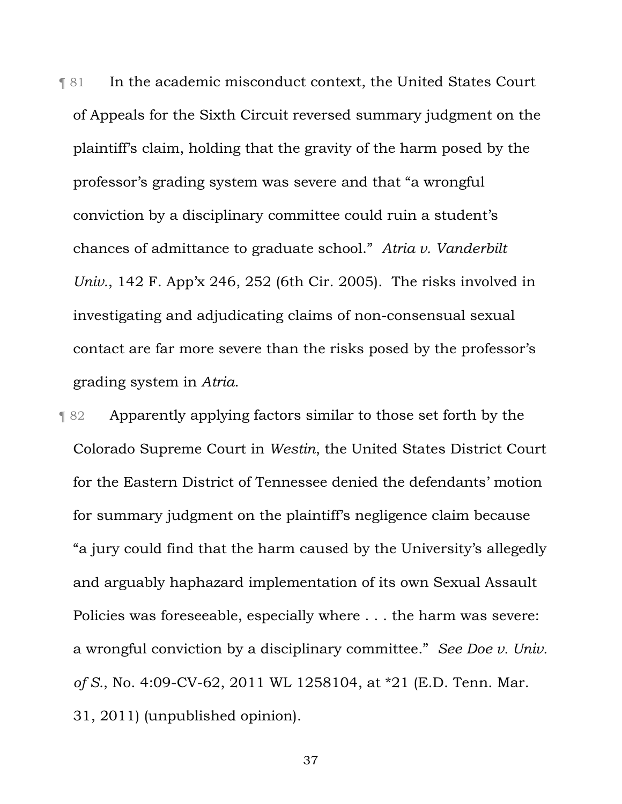**THE 31** In the academic misconduct context, the United States Court of Appeals for the Sixth Circuit reversed summary judgment on the plaintiff's claim, holding that the gravity of the harm posed by the professor's grading system was severe and that "a wrongful conviction by a disciplinary committee could ruin a student's chances of admittance to graduate school." *Atria v. Vanderbilt Univ.*, 142 F. App'x 246, 252 (6th Cir. 2005). The risks involved in investigating and adjudicating claims of non-consensual sexual contact are far more severe than the risks posed by the professor's grading system in *Atria*.

¶ 82 Apparently applying factors similar to those set forth by the Colorado Supreme Court in *Westin*, the United States District Court for the Eastern District of Tennessee denied the defendants' motion for summary judgment on the plaintiff's negligence claim because "a jury could find that the harm caused by the University's allegedly and arguably haphazard implementation of its own Sexual Assault Policies was foreseeable, especially where . . . the harm was severe: a wrongful conviction by a disciplinary committee." *See Doe v. Univ. of S.*, No. 4:09-CV-62, 2011 WL 1258104, at \*21 (E.D. Tenn. Mar. 31, 2011) (unpublished opinion).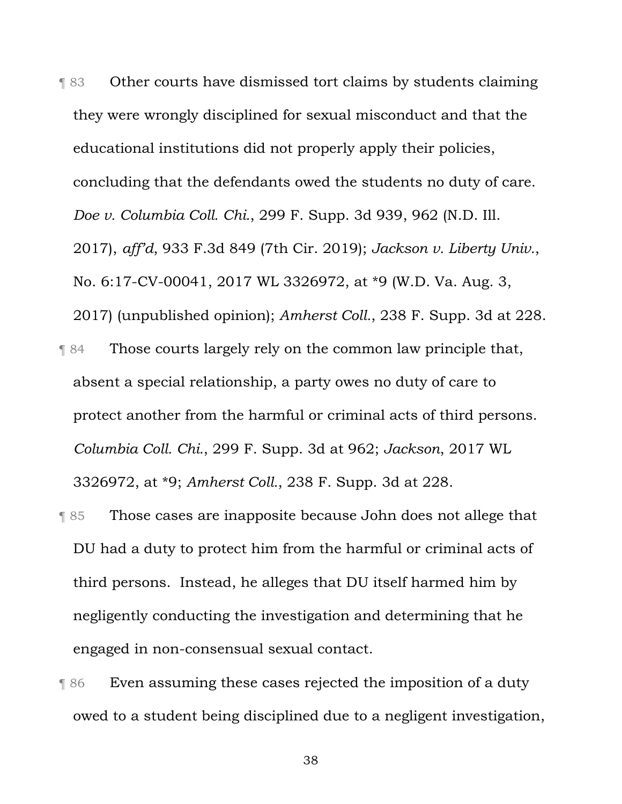¶ 83 Other courts have dismissed tort claims by students claiming they were wrongly disciplined for sexual misconduct and that the educational institutions did not properly apply their policies, concluding that the defendants owed the students no duty of care. *Doe v. Columbia Coll. Chi.*, 299 F. Supp. 3d 939, 962 (N.D. Ill. 2017), *aff'd*, 933 F.3d 849 (7th Cir. 2019); *Jackson v. Liberty Univ.*, No. 6:17-CV-00041, 2017 WL 3326972, at \*9 (W.D. Va. Aug. 3, 2017) (unpublished opinion); *Amherst Coll.*, 238 F. Supp. 3d at 228. ¶ 84 Those courts largely rely on the common law principle that, absent a special relationship, a party owes no duty of care to protect another from the harmful or criminal acts of third persons. *Columbia Coll. Chi.*, 299 F. Supp. 3d at 962; *Jackson*, 2017 WL

3326972, at \*9; *Amherst Coll.*, 238 F. Supp. 3d at 228.

- ¶ 85 Those cases are inapposite because John does not allege that DU had a duty to protect him from the harmful or criminal acts of third persons. Instead, he alleges that DU itself harmed him by negligently conducting the investigation and determining that he engaged in non-consensual sexual contact.
- ¶ 86 Even assuming these cases rejected the imposition of a duty owed to a student being disciplined due to a negligent investigation,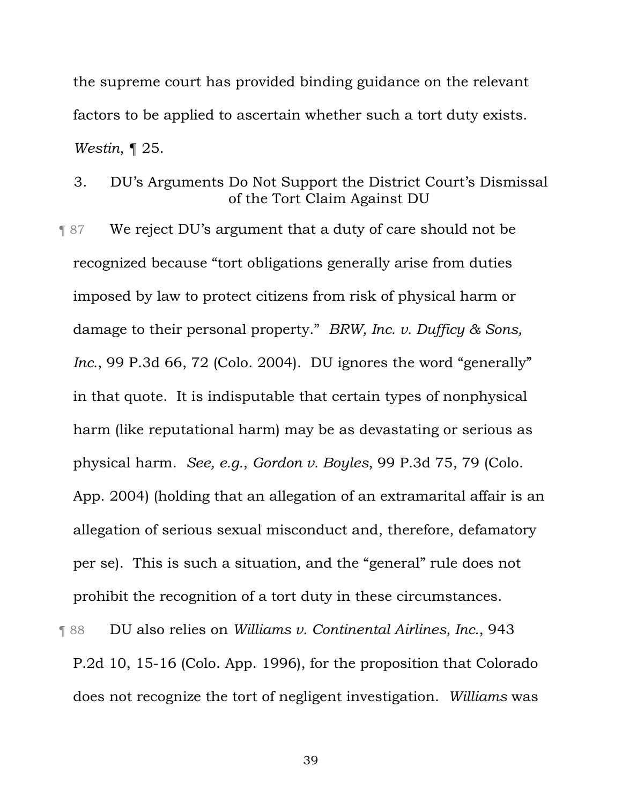the supreme court has provided binding guidance on the relevant factors to be applied to ascertain whether such a tort duty exists. *Westin*, ¶ 25.

3. DU's Arguments Do Not Support the District Court's Dismissal of the Tort Claim Against DU

¶ 87 We reject DU's argument that a duty of care should not be recognized because "tort obligations generally arise from duties imposed by law to protect citizens from risk of physical harm or damage to their personal property." *BRW, Inc. v. Dufficy & Sons, Inc.*, 99 P.3d 66, 72 (Colo. 2004). DU ignores the word "generally" in that quote. It is indisputable that certain types of nonphysical harm (like reputational harm) may be as devastating or serious as physical harm. *See, e.g.*, *Gordon v. Boyles*, 99 P.3d 75, 79 (Colo. App. 2004) (holding that an allegation of an extramarital affair is an allegation of serious sexual misconduct and, therefore, defamatory per se). This is such a situation, and the "general" rule does not prohibit the recognition of a tort duty in these circumstances.

¶ 88 DU also relies on *Williams v. Continental Airlines, Inc.*, 943 P.2d 10, 15-16 (Colo. App. 1996), for the proposition that Colorado does not recognize the tort of negligent investigation. *Williams* was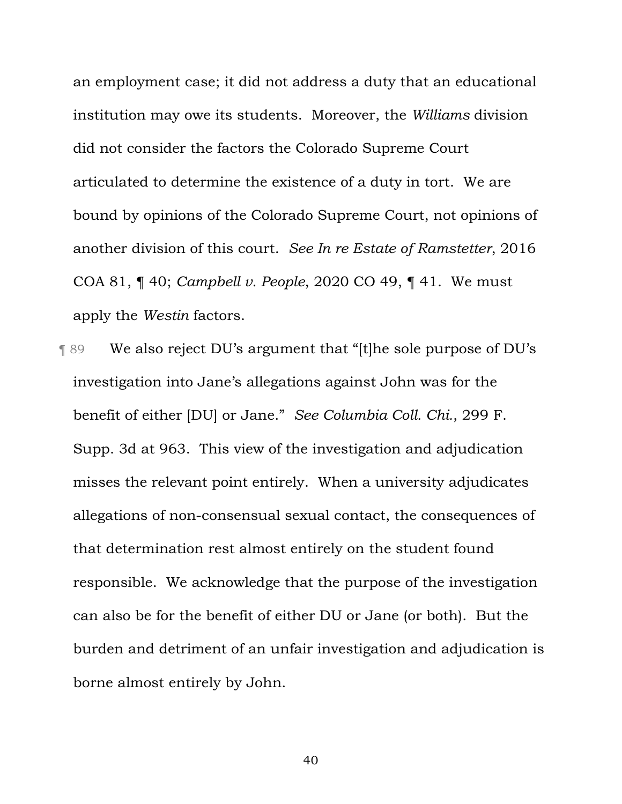an employment case; it did not address a duty that an educational institution may owe its students. Moreover, the *Williams* division did not consider the factors the Colorado Supreme Court articulated to determine the existence of a duty in tort. We are bound by opinions of the Colorado Supreme Court, not opinions of another division of this court. *See In re Estate of Ramstetter*, 2016 COA 81, ¶ 40; *Campbell v. People*, 2020 CO 49, ¶ 41. We must apply the *Westin* factors.

¶ 89 We also reject DU's argument that "[t]he sole purpose of DU's investigation into Jane's allegations against John was for the benefit of either [DU] or Jane." *See Columbia Coll. Chi.*, 299 F. Supp. 3d at 963. This view of the investigation and adjudication misses the relevant point entirely. When a university adjudicates allegations of non-consensual sexual contact, the consequences of that determination rest almost entirely on the student found responsible. We acknowledge that the purpose of the investigation can also be for the benefit of either DU or Jane (or both). But the burden and detriment of an unfair investigation and adjudication is borne almost entirely by John.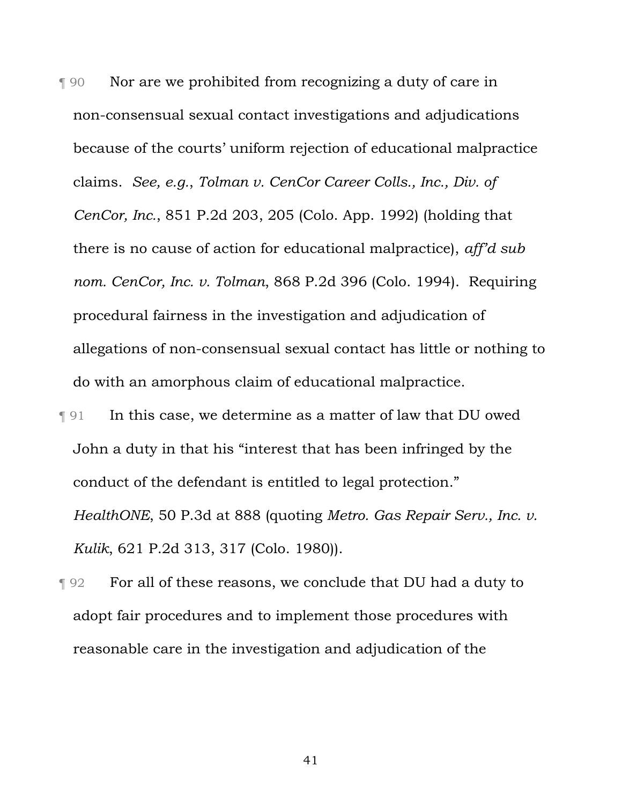¶ 90 Nor are we prohibited from recognizing a duty of care in non-consensual sexual contact investigations and adjudications because of the courts' uniform rejection of educational malpractice claims. *See, e.g.*, *Tolman v. CenCor Career Colls., Inc., Div. of CenCor, Inc.*, 851 P.2d 203, 205 (Colo. App. 1992) (holding that there is no cause of action for educational malpractice), *aff'd sub nom. CenCor, Inc. v. Tolman*, 868 P.2d 396 (Colo. 1994). Requiring procedural fairness in the investigation and adjudication of allegations of non-consensual sexual contact has little or nothing to do with an amorphous claim of educational malpractice.

- ¶ 91 In this case, we determine as a matter of law that DU owed John a duty in that his "interest that has been infringed by the conduct of the defendant is entitled to legal protection." *HealthONE*, 50 P.3d at 888 (quoting *Metro. Gas Repair Serv., Inc. v. Kulik*, 621 P.2d 313, 317 (Colo. 1980)).
- **T** 92 For all of these reasons, we conclude that DU had a duty to adopt fair procedures and to implement those procedures with reasonable care in the investigation and adjudication of the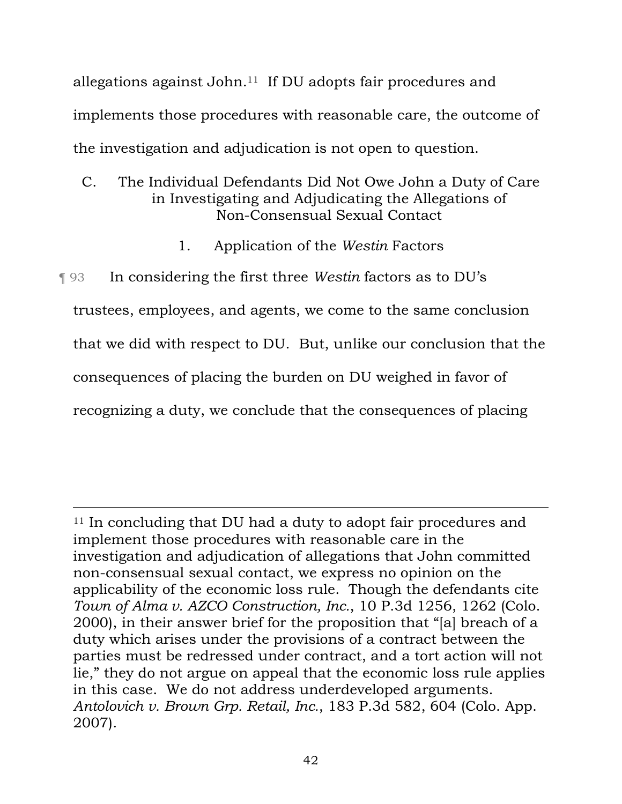allegations against John.11 If DU adopts fair procedures and implements those procedures with reasonable care, the outcome of the investigation and adjudication is not open to question.

# C. The Individual Defendants Did Not Owe John a Duty of Care in Investigating and Adjudicating the Allegations of Non-Consensual Sexual Contact

1. Application of the *Westin* Factors

¶ 93 In considering the first three *Westin* factors as to DU's trustees, employees, and agents, we come to the same conclusion that we did with respect to DU. But, unlike our conclusion that the consequences of placing the burden on DU weighed in favor of recognizing a duty, we conclude that the consequences of placing

<sup>&</sup>lt;sup>11</sup> In concluding that DU had a duty to adopt fair procedures and implement those procedures with reasonable care in the investigation and adjudication of allegations that John committed non-consensual sexual contact, we express no opinion on the applicability of the economic loss rule. Though the defendants cite *Town of Alma v. AZCO Construction, Inc.*, 10 P.3d 1256, 1262 (Colo. 2000), in their answer brief for the proposition that "[a] breach of a duty which arises under the provisions of a contract between the parties must be redressed under contract, and a tort action will not lie," they do not argue on appeal that the economic loss rule applies in this case. We do not address underdeveloped arguments. *Antolovich v. Brown Grp. Retail, Inc.*, 183 P.3d 582, 604 (Colo. App. 2007).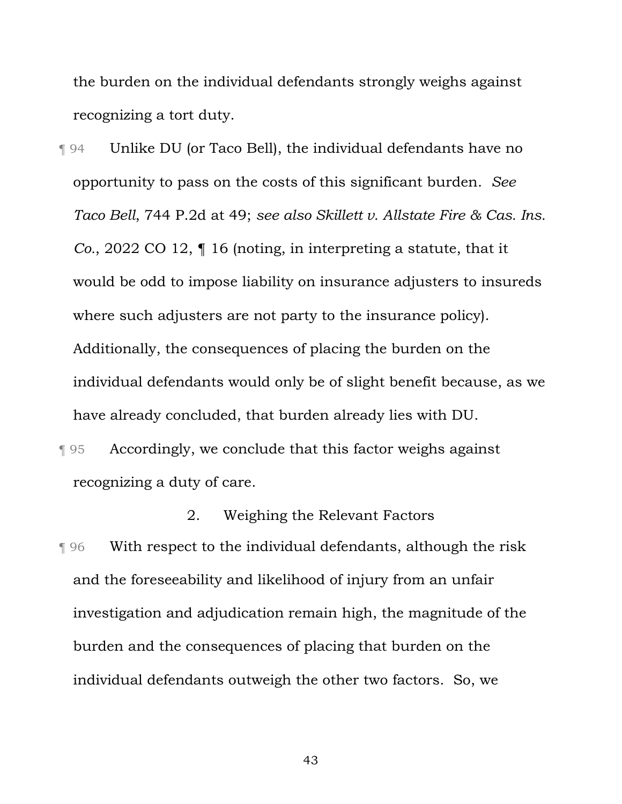the burden on the individual defendants strongly weighs against recognizing a tort duty.

¶ 94 Unlike DU (or Taco Bell), the individual defendants have no opportunity to pass on the costs of this significant burden. *See Taco Bell*, 744 P.2d at 49; *see also Skillett v. Allstate Fire & Cas. Ins. Co.*, 2022 CO 12, ¶ 16 (noting, in interpreting a statute, that it would be odd to impose liability on insurance adjusters to insureds where such adjusters are not party to the insurance policy). Additionally, the consequences of placing the burden on the individual defendants would only be of slight benefit because, as we have already concluded, that burden already lies with DU.

¶ 95 Accordingly, we conclude that this factor weighs against recognizing a duty of care.

¶ 96 With respect to the individual defendants, although the risk and the foreseeability and likelihood of injury from an unfair investigation and adjudication remain high, the magnitude of the burden and the consequences of placing that burden on the individual defendants outweigh the other two factors. So, we

2. Weighing the Relevant Factors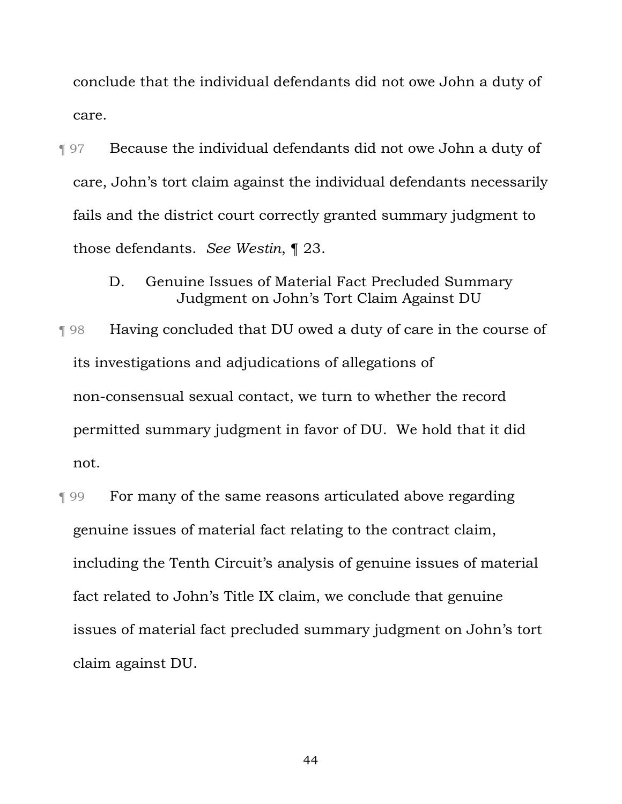conclude that the individual defendants did not owe John a duty of care.

- ¶ 97 Because the individual defendants did not owe John a duty of care, John's tort claim against the individual defendants necessarily fails and the district court correctly granted summary judgment to those defendants. *See Westin*, ¶ 23.
	- D. Genuine Issues of Material Fact Precluded Summary Judgment on John's Tort Claim Against DU
- ¶ 98 Having concluded that DU owed a duty of care in the course of its investigations and adjudications of allegations of non-consensual sexual contact, we turn to whether the record permitted summary judgment in favor of DU. We hold that it did not.
- ¶ 99 For many of the same reasons articulated above regarding genuine issues of material fact relating to the contract claim, including the Tenth Circuit's analysis of genuine issues of material fact related to John's Title IX claim, we conclude that genuine issues of material fact precluded summary judgment on John's tort claim against DU.